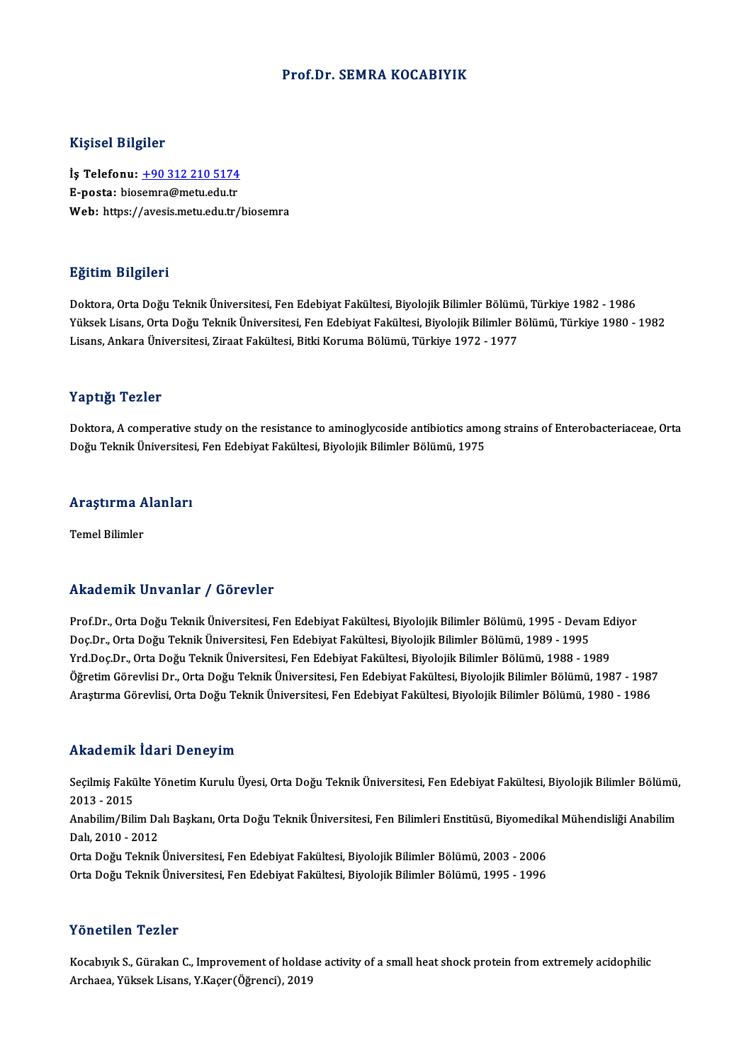#### Prof.Dr. SEMRA KOCABIYIK

#### Kişisel Bilgiler

Kişisel Bilgiler<br>İş Telefonu: <u>+90 312 210 5174</u><br>E nosta: biasamra@matu.cdu.tr 11131021<br>İş Telefonu: <u>+90 312 210 5174</u><br>E-posta: bio[semra@metu.edu.tr](tel:+90 312 210 5174)<br>Web: https://avesis.metu.edu.tr E-posta: biosemra@metu.edu.tr<br>Web: https://avesis.metu.edu.tr/biosemra

#### Eğitim Bilgileri

Doktora, Orta Doğu Teknik Üniversitesi, Fen Edebiyat Fakültesi, Biyolojik Bilimler Bölümü, Türkiye 1982 - 1986 25.0000 Zagaseaa<br>Doktora, Orta Doğu Teknik Üniversitesi, Fen Edebiyat Fakültesi, Biyolojik Bilimler Bölümü, Türkiye 1982 - 1986<br>Yüksek Lisans, Orta Doğu Teknik Üniversitesi, Fen Edebiyat Fakültesi, Biyolojik Bilimler Bölüm Doktora, Orta Doğu Teknik Üniversitesi, Fen Edebiyat Fakültesi, Biyolojik Bilimler Bölümi<br>Yüksek Lisans, Orta Doğu Teknik Üniversitesi, Fen Edebiyat Fakültesi, Biyolojik Bilimler B<br>Lisans, Ankara Üniversitesi, Ziraat Fakül Lisans, Ankara Üniversitesi, Ziraat Fakültesi, Bitki Koruma Bölümü, Türkiye 1972 - 1977<br>Yaptığı Tezler

Doktora, A comperative study on the resistance to aminoglycoside antibiotics among strains of Enterobacteriaceae, Orta Doğu Teknik Üniversitesi, Fen Edebiyat Fakültesi, Biyolojik Bilimler Bölümü, 1975

# bogu Teknik Universites<br>Araştırma Alanları <mark>Araştırma A</mark><br>Temel Bilimler

# Akademik Unvanlar / Görevler

Prof.Dr., Orta Doğu Teknik Üniversitesi, Fen Edebiyat Fakültesi, Biyolojik Bilimler Bölümü, 1995 - Devam Ediyor rrittat omrit "On varirar" / "dör ovror"<br>Prof.Dr., Orta Doğu Teknik Üniversitesi, Fen Edebiyat Fakültesi, Biyolojik Bilimler Bölümü, 1995 - Devai<br>Doç.Dr., Orta Doğu Teknik Üniversitesi, Fen Edebiyat Fakültesi, Biyolojik Bi Prof.Dr., Orta Doğu Teknik Üniversitesi, Fen Edebiyat Fakültesi, Biyolojik Bilimler Bölümü, 1995 - Devam Ec<br>Doç.Dr., Orta Doğu Teknik Üniversitesi, Fen Edebiyat Fakültesi, Biyolojik Bilimler Bölümü, 1989 - 1995<br>Yrd.Doç.Dr. Yrd.Doç.Dr., Orta Doğu Teknik Üniversitesi, Fen Edebiyat Fakültesi, Biyolojik Bilimler Bölümü, 1988 - 1989<br>Öğretim Görevlisi Dr., Orta Doğu Teknik Üniversitesi, Fen Edebiyat Fakültesi, Biyolojik Bilimler Bölümü, 1987 - 198 Araştırma Görevlisi, Orta Doğu Teknik Üniversitesi, Fen Edebiyat Fakültesi, Biyolojik Bilimler Bölümü, 1980 - 1986

#### Akademik İdari Deneyim

**Akademik İdari Deneyim**<br>Seçilmiş Fakülte Yönetim Kurulu Üyesi, Orta Doğu Teknik Üniversitesi, Fen Edebiyat Fakültesi, Biyolojik Bilimler Bölümü,<br>2013 - 2015 2013 -2015 Seçilmiş Fakülte Yönetim Kurulu Üyesi, Orta Doğu Teknik Üniversitesi, Fen Edebiyat Fakültesi, Biyolojik Bilimler Bölümü,<br>2013 - 2015<br>Anabilim/Bilim Dalı Başkanı, Orta Doğu Teknik Üniversitesi, Fen Bilimleri Enstitüsü, Biyo 2013 - 2015<br>Anabilim/Bilim Da<br>Dalı, 2010 - 2012<br>Orta Doğu Telmik Anabilim/Bilim Dalı Başkanı, Orta Doğu Teknik Üniversitesi, Fen Bilimleri Enstitüsü, Biyomedik<br>Dalı, 2010 - 2012<br>Orta Doğu Teknik Üniversitesi, Fen Edebiyat Fakültesi, Biyolojik Bilimler Bölümü, 2003 - 2006<br>Orta Doğu Tekni Dalı, 2010 - 2012<br>Orta Doğu Teknik Üniversitesi, Fen Edebiyat Fakültesi, Biyolojik Bilimler Bölümü, 2003 - 2006<br>Orta Doğu Teknik Üniversitesi, Fen Edebiyat Fakültesi, Biyolojik Bilimler Bölümü, 1995 - 1996

#### Yönetilen Tezler

Kocabıyık S., Gürakan C., Improvement of holdase activity of a small heat shock protein from extremely acidophilic Archaea,YüksekLisans,Y.Kaçer(Öğrenci),2019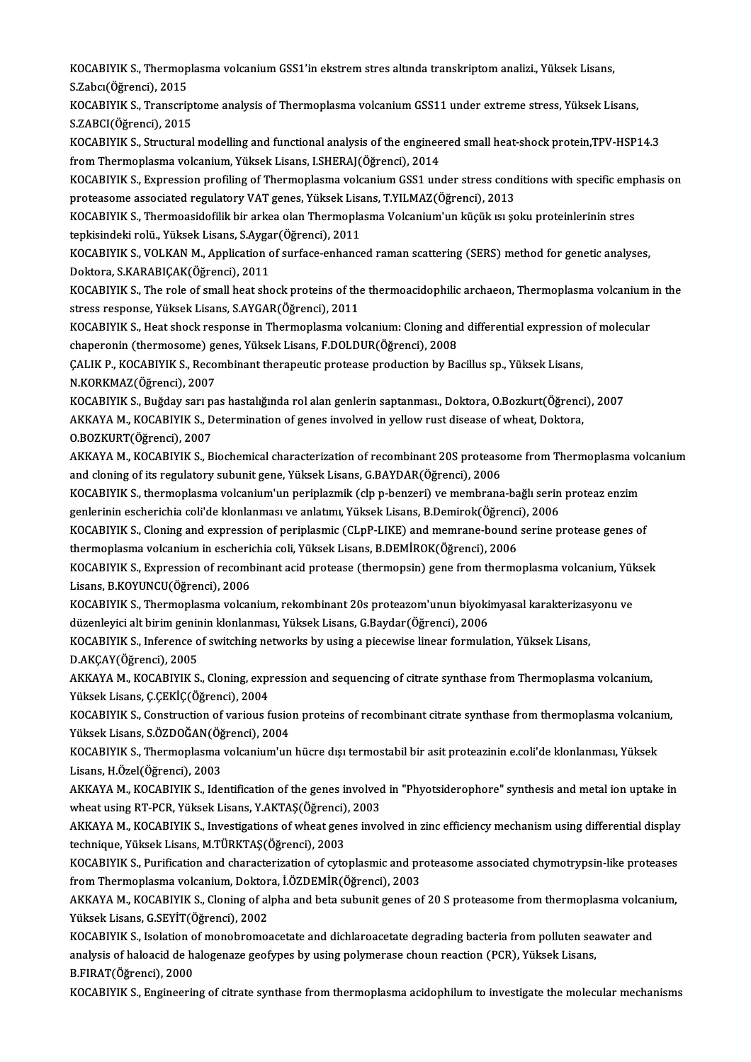KOCABIYIK S., Thermoplasma volcanium GSS1'in ekstrem stres altında transkriptom analizi., Yüksek Lisans,<br>S.Zahav(Öğrengi), 2015 KOCABIYIK S., Thermop<br>S.Zabcı(Öğrenci), 2015<br>KOCABIYIK S., Transarir KOCABIYIK S., Thermoplasma volcanium GSS1'in ekstrem stres altında transkriptom analizi., Yüksek Lisans,<br>S.Zabcı(Öğrenci), 2015<br>KOCABIYIK S., Transcriptome analysis of Thermoplasma volcanium GSS11 under extreme stress, Yük

S.Zabcı(Öğrenci), 2015<br>KOCABIYIK S., Transcriptome analysis of Thermoplasma volcanium GSS11 under extreme stress, Yüksek Lisans,<br>S.ZABCI(Öğrenci), 2015 KOCABIYIK S., Transcriptome analysis of Thermoplasma volcanium GSS11 under extreme stress, Yüksek Lisans,<br>S.ZABCI(Öğrenci), 2015<br>KOCABIYIK S., Structural modelling and functional analysis of the engineered small heat-shock

S.ZABCI(Öğrenci), 2015<br>KOCABIYIK S., Structural modelling and functional analysis of the enginee<br>from Thermoplasma volcanium, Yüksek Lisans, I.SHERAJ(Öğrenci), 2014<br>KOCARIYIK S., Expression profiling of Thermoplasma volcan KOCABIYIK S., Structural modelling and functional analysis of the engineered small heat-shock protein,TPV-HSP14.3<br>from Thermoplasma volcanium, Yüksek Lisans, I.SHERAJ(Öğrenci), 2014<br>KOCABIYIK S., Expression profiling of Th

from Thermoplasma volcanium, Yüksek Lisans, I.SHERAJ(Öğrenci), 2014<br>KOCABIYIK S., Expression profiling of Thermoplasma volcanium GSS1 under stress cond<br>proteasome associated regulatory VAT genes, Yüksek Lisans, T.YILMAZ(Öğ KOCABIYIK S., Expression profiling of Thermoplasma volcanium GSS1 under stress conditions with specific emp<br>proteasome associated regulatory VAT genes, Yüksek Lisans, T.YILMAZ(Öğrenci), 2013<br>KOCABIYIK S., Thermoasidofilik

proteasome associated regulatory VAT genes, Yüksek Lisan<br>KOCABIYIK S., Thermoasidofilik bir arkea olan Thermopla<br>tepkisindeki rolü., Yüksek Lisans, S.Aygar(Öğrenci), 2011<br>KOCABIYIK S. VOLKAN M. Annlisation of surfase onban

KOCABIYIK S., Thermoasidofilik bir arkea olan Thermoplasma Volcanium'un küçük ısı şoku proteinlerinin stres<br>tepkisindeki rolü., Yüksek Lisans, S.Aygar(Öğrenci), 2011<br>KOCABIYIK S., VOLKAN M., Application of surface-enhanced tepkisindeki rolü., Yüksek Lisans, S.Ayga<br>KOCABIYIK S., VOLKAN M., Application c<br>Doktora, S.KARABIÇAK(Öğrenci), 2011<br>KOCABIYIK S., The rols of small heat she KOCABIYIK S., VOLKAN M., Application of surface-enhanced raman scattering (SERS) method for genetic analyses,<br>Doktora, S.KARABIÇAK(Öğrenci), 2011<br>KOCABIYIK S., The role of small heat shock proteins of the thermoacidophilic

stress response, Yüksek Lisans, S.AYGAR(Öğrenci), 2011 KOCABIYIK S., The role of small heat shock proteins of the thermoacidophilic archaeon, Thermoplasma volcanium<br>stress response, Yüksek Lisans, S.AYGAR(Öğrenci), 2011<br>KOCABIYIK S., Heat shock response in Thermoplasma volcani

stress response, Yüksek Lisans, S.AYGAR(Öğrenci), 2011<br>KOCABIYIK S., Heat shock response in Thermoplasma volcanium: Cloning and<br>chaperonin (thermosome) genes, Yüksek Lisans, F.DOLDUR(Öğrenci), 2008<br>CALIK B. KOCABIYIK S. Be KOCABIYIK S., Heat shock response in Thermoplasma volcanium: Cloning and differential expression<br>chaperonin (thermosome) genes, Yüksek Lisans, F.DOLDUR(Öğrenci), 2008<br>ÇALIK P., KOCABIYIK S., Recombinant therapeutic proteas

chaperonin (thermosome) genes, Yüksek Lisans, F.DOLDUR(Öğrenci), 2008<br>ÇALIK P., KOCABIYIK S., Recombinant therapeutic protease production by Bacillus sp., Yüksek Lisans,<br>N.KORKMAZ(Öğrenci), 2007 CALIK P., KOCABIYIK S., Recombinant therapeutic protease production by Bacillus sp., Yüksek Lisans,<br>N.KORKMAZ(Öğrenci), 2007<br>KOCABIYIK S., Buğday sarı pas hastalığında rol alan genlerin saptanması., Doktora, O.Bozkurt(Öğre

N.KORKMAZ(Öğrenci), 2007<br>KOCABIYIK S., Buğday sarı pas hastalığında rol alan genlerin saptanması., Doktora, O.Bozkurt(Öğrenci<br>AKKAYA M., KOCABIYIK S., Determination of genes involved in yellow rust disease of wheat, Doktor KOCABIYIK S., Buğday sarı p.<br>AKKAYA M., KOCABIYIK S., D.<br>O.BOZKURT(Öğrenci), 2007<br>AKKAYA M., KOCABIYIK S., B.

AKKAYA M., KOCABIYIK S., Determination of genes involved in yellow rust disease of wheat, Doktora,<br>O.BOZKURT(Öğrenci), 2007<br>AKKAYA M., KOCABIYIK S., Biochemical characterization of recombinant 20S proteasome from Thermopla 0.BOZKURT(Öğrenci), 2007<br>AKKAYA M., KOCABIYIK S., Biochemical characterization of recombinant 20S proteas<br>and cloning of its regulatory subunit gene, Yüksek Lisans, G.BAYDAR(Öğrenci), 2006 AKKAYA M., KOCABIYIK S., Biochemical characterization of recombinant 20S proteasome from Thermoplasma vo<br>and cloning of its regulatory subunit gene, Yüksek Lisans, G.BAYDAR(Öğrenci), 2006<br>KOCABIYIK S., thermoplasma volcani

KOCABIYIK S., thermoplasma volcanium'un periplazmik (clp p-benzeri) ve membrana-bağlı serin proteaz enzim genlerinin escherichia coli'de klonlanması ve anlatımı, Yüksek Lisans, B.Demirok(Öğrenci), 2006

KOCABIYIK S., Cloning and expression of periplasmic (CLpP-LIKE) and memrane-bound serine protease genes of<br>thermoplasma volcanium in escherichia coli, Yüksek Lisans, B.DEMİROK(Öğrenci), 2006 KOCABIYIK S., Cloning and expression of periplasmic (CLpP-LIKE) and memrane-bound serine protease genes of<br>thermoplasma volcanium in escherichia coli, Yüksek Lisans, B.DEMİROK(Öğrenci), 2006<br>KOCABIYIK S., Expression of rec

Lisans, B.KOYUNCU(Öğrenci), 2006 KOCABIYIK S., Expression of recombinant acid protease (thermopsin) gene from thermoplasma volcanium, Yük<br>Lisans, B.KOYUNCU(Öğrenci), 2006<br>KOCABIYIK S., Thermoplasma volcanium, rekombinant 20s proteazom'unun biyokimyasal ka

KOCABIYIK S., Thermoplasma volcanium, rekombinant 20s proteazom'unun biyokimyasal karakterizasyonu ve<br>düzenleyici alt birim geninin klonlanması, Yüksek Lisans, G.Baydar(Öğrenci), 2006 KOCABIYIK S., Thermoplasma volcanium, rekombinant 20s proteazom'unun biyokimyasal karakterizas<br>düzenleyici alt birim geninin klonlanması, Yüksek Lisans, G.Baydar(Öğrenci), 2006<br>KOCABIYIK S., Inference of switching networks düzenleyici alt birim genir<br>KOCABIYIK S., Inference o<br>D.AKÇAY(Öğrenci), 2005<br>AKKAYA M. KOCABIYIK S

KOCABIYIK S., Inference of switching networks by using a piecewise linear formulation, Yüksek Lisans,<br>D.AKÇAY(Öğrenci), 2005<br>AKKAYA M., KOCABIYIK S., Cloning, expression and sequencing of citrate synthase from Thermoplasma D.AKÇAY(Öğrenci), 2005<br>AKKAYA M., KOCABIYIK S., Cloning, expr<br>Yüksek Lisans, Ç.ÇEKİÇ(Öğrenci), 2004<br>KOCABIYIK S. Construction of various f AKKAYA M., KOCABIYIK S., Cloning, expression and sequencing of citrate synthase from Thermoplasma volcanium,<br>Yüksek Lisans, Ç.ÇEKİÇ(Öğrenci), 2004<br>KOCABIYIK S., Construction of various fusion proteins of recombinant citrat

Yüksek Lisans, Ç.ÇEKİÇ(Öğrenci), 2004<br>KOCABIYIK S., Construction of various fusio<br>Yüksek Lisans, S.ÖZDOĞAN(Öğrenci), 2004<br>KOCABIYIK S. Thermenlesma velsaniym'un KOCABIYIK S., Construction of various fusion proteins of recombinant citrate synthase from thermoplasma volcaniu<br>Yüksek Lisans, S.ÖZDOĞAN(Öğrenci), 2004<br>KOCABIYIK S., Thermoplasma volcanium'un hücre dışı termostabil bir as

Yüksek Lisans, S.ÖZDOĞAN(Öğ<br>KOCABIYIK S., Thermoplasma<br>Lisans, H.Özel(Öğrenci), 2003<br>AKKAYA M. KOCABIYIK S. Ide KOCABIYIK S., Thermoplasma volcanium'un hücre dışı termostabil bir asit proteazinin e.coli'de klonlanması, Yüksek<br>Lisans, H.Özel(Öğrenci), 2003<br>AKKAYA M., KOCABIYIK S., Identification of the genes involved in "Phyotsiderop

Lisans, H.Özel(Öğrenci), 2003<br>AKKAYA M., KOCABIYIK S., Identification of the genes involved in "Phyotsiderophore" synthesis and metal ion uptake in<br>wheat using RT-PCR, Yüksek Lisans, Y.AKTAŞ(Öğrenci), 2003 AKKAYA M., KOCABIYIK S., Identification of the genes involved in "Phyotsiderophore" synthesis and metal ion uptake in<br>wheat using RT-PCR, Yüksek Lisans, Y.AKTAŞ(Öğrenci), 2003<br>AKKAYA M., KOCABIYIK S., Investigations of whe

wheat using RT-PCR, Yüksek Lisans, Y.AKTAŞ(Öğrenci)<br>AKKAYA M., KOCABIYIK S., Investigations of wheat genet<br>technique, Yüksek Lisans, M.TÜRKTAŞ(Öğrenci), 2003<br>KOCABIYIK S., Burifisation and shanssteriration of sute AKKAYA M., KOCABIYIK S., Investigations of wheat genes involved in zinc efficiency mechanism using differential display<br>technique, Yüksek Lisans, M.TÜRKTAŞ(Öğrenci), 2003<br>KOCABIYIK S., Purification and characterization of

technique, Yüksek Lisans, M.TÜRKTAŞ(Öğrenci), 2003<br>KOCABIYIK S., Purification and characterization of cytoplasmic and pr<br>from Thermoplasma volcanium, Doktora, İ.ÖZDEMİR(Öğrenci), 2003<br>AKKANA M. KOCABIYIK S. Cloning of alph KOCABIYIK S., Purification and characterization of cytoplasmic and proteasome associated chymotrypsin-like proteases<br>from Thermoplasma volcanium, Doktora, İ.ÖZDEMİR(Öğrenci), 2003<br>AKKAYA M., KOCABIYIK S., Cloning of alpha

from Thermoplasma volcanium, Doktora, İ.ÖZDEMİR(Öğrenci), 2003<br>AKKAYA M., KOCABIYIK S., Cloning of alpha and beta subunit genes o<br>Yüksek Lisans, G.SEYİT(Öğrenci), 2002 AKKAYA M., KOCABIYIK S., Cloning of alpha and beta subunit genes of 20 S proteasome from thermoplasma volcanium,<br>Yüksek Lisans, G.SEYİT(Öğrenci), 2002<br>KOCABIYIK S., Isolation of monobromoacetate and dichlaroacetate degradi

Yüksek Lisans, G.SEYİT(Öğrenci), 2002<br>KOCABIYIK S., Isolation of monobromoacetate and dichlaroacetate degrading bacteria from polluten sea<br>analysis of haloacid de halogenaze geofypes by using polymerase choun reaction (PCR KOCABIYIK S., Isolation o<br>analysis of haloacid de ha<br>B.FIRAT(Öğrenci), 2000<br>KOCABIYIK S. Engineerij

B.FIRAT(Öğrenci), 2000<br>KOCABIYIK S., Engineering of citrate synthase from thermoplasma acidophilum to investigate the molecular mechanisms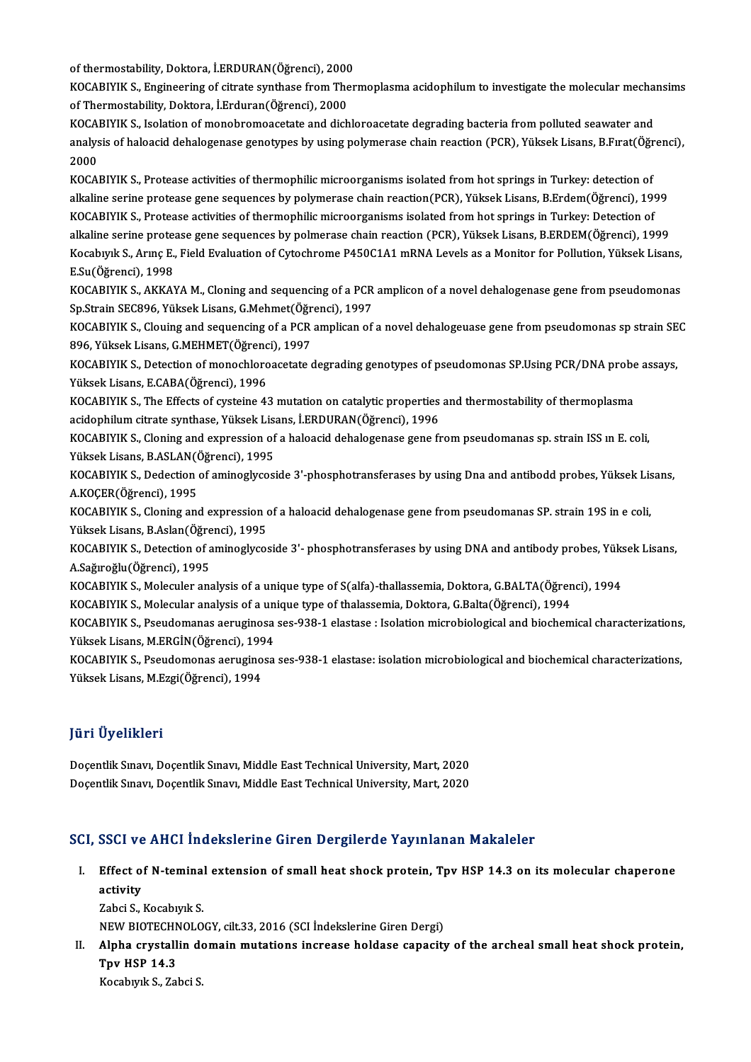of thermostability, Doktora, İ.ERDURAN(Öğrenci), 2000<br>VOCARIVIK S. Engineering of sitrate sunthase fram Ther

of thermostability, Doktora, İ.ERDURAN(Öğrenci), 2000<br>KOCABIYIK S., Engineering of citrate synthase from Thermoplasma acidophilum to investigate the molecular mechansims<br>Of Thermostability, Doktore, İ.Erduran(Öğrengi), 200 of thermostability, Doktora, İ.ERDURAN(Öğrenci), 2000<br>KOCABIYIK S., Engineering of citrate synthase from The<br>of Thermostability, Doktora, İ.Erduran(Öğrenci), 2000<br>KOCABIYIK S. Jasktian of manahramaasatata and dish KOCABIYIK S., Engineering of citrate synthase from Thermoplasma acidophilum to investigate the molecular mecha<br>of Thermostability, Doktora, İ.Erduran(Öğrenci), 2000<br>KOCABIYIK S., Isolation of monobromoacetate and dichloroa

of Thermostability, Doktora, İ.Erduran(Öğrenci), 2000<br>KOCABIYIK S., Isolation of monobromoacetate and dichloroacetate degrading bacteria from polluted seawater and<br>analysis of haloacid dehalogenase genotypes by using polym KOCABIYIK S., Isolation of monobromoacetate and dichloroacetate degrading bacteria from polluted seawater and analysis of haloacid dehalogenase genotypes by using polymerase chain reaction (PCR), Yüksek Lisans, B.Fırat(Öğr<br>2000<br>KOCABIYIK S., Protease activities of thermophilic microorganisms isolated from hot springs in Turkey: de

2000<br>KOCABIYIK S., Protease activities of thermophilic microorganisms isolated from hot springs in Turkey: detection of<br>alkaline serine protease gene sequences by polymerase chain reaction(PCR), Yüksek Lisans, B.Erdem(Öğre alkaline serine protease gene sequences by polymerase chain reaction(PCR), Yüksek Lisans, B.Erdem(Öğrenci), 1999<br>KOCABIYIK S., Protease activities of thermophilic microorganisms isolated from hot springs in Turkey: Detecti alkaline serine protease gene sequences by polymerase chain reaction(PCR), Yüksek Lisans, B.Erdem(Öğrenci), 1999<br>KOCABIYIK S., Protease activities of thermophilic microorganisms isolated from hot springs in Turkey: Detecti KOCABIYIK S., Protease activities of thermophilic microorganisms isolated from hot springs in Turkey: Detection of<br>alkaline serine protease gene sequences by polmerase chain reaction (PCR), Yüksek Lisans, B.ERDEM(Öğrenci), alkaline serine prote<mark>:</mark><br>Kocabıyık S., Arınç E.,<br>E.Su(Öğrenci), 1998<br>KOCABIYIK S., AKKAY Kocabıyık S., Arınç E., Field Evaluation of Cytochrome P450C1A1 mRNA Levels as a Monitor for Pollution, Yüksek Lisans,<br>E.Su(Öğrenci), 1998<br>KOCABIYIK S., AKKAYA M., Cloning and sequencing of a PCR amplicon of a novel dehalo

E.Su(Öğrenci), 1998<br>KOCABIYIK S., AKKAYA M., Cloning and sequencing of a PCR<br>Sp.Strain SEC896, Yüksek Lisans, G.Mehmet(Öğrenci), 1997<br>KOCABIYIK S. Cloving and sequencing of a PCB emplisan of KOCABIYIK S., AKKAYA M., Cloning and sequencing of a PCR amplicon of a novel dehalogenase gene from pseudomonas<br>Sp.Strain SEC896, Yüksek Lisans, G.Mehmet(Öğrenci), 1997<br>KOCABIYIK S., Clouing and sequencing of a PCR amplica

Sp.Strain SEC896, Yüksek Lisans, G.Mehmet(Öğr<br>KOCABIYIK S., Clouing and sequencing of a PCR<br>896, Yüksek Lisans, G.MEHMET(Öğrenci), 1997<br>KOCABIYIK S. Detestion of monochloroegette s KOCABIYIK S., Clouing and sequencing of a PCR amplican of a novel dehalogeuase gene from pseudomonas sp strain SE<br>896, Yüksek Lisans, G.MEHMET(Öğrenci), 1997<br>KOCABIYIK S., Detection of monochloroacetate degrading genotypes

896, Yüksek Lisans, G.MEHMET(Öğrenci), 1997<br>KOCABIYIK S., Detection of monochloroacetate degrading genotypes of pseudomonas SP.Using PCR/DNA probe assays,<br>Yüksek Lisans, E.CABA(Öğrenci), 1996 KOCABIYIK S., Detection of monochloroacetate degrading genotypes of pseudomonas SP.Using PCR/DNA probe<br>Yüksek Lisans, E.CABA(Öğrenci), 1996<br>KOCABIYIK S., The Effects of cysteine 43 mutation on catalytic properties and ther

Yüksek Lisans, E.CABA(Öğrenci), 1996<br>KOCABIYIK S., The Effects of cysteine 43 mutation on catalytic properties<br>acidophilum citrate synthase, Yüksek Lisans, İ.ERDURAN(Öğrenci), 1996<br>KOCABIYIK S. Claning and aynusasian of a KOCABIYIK S., The Effects of cysteine 43 mutation on catalytic properties and thermostability of thermoplasma<br>acidophilum citrate synthase, Yüksek Lisans, İ.ERDURAN(Öğrenci), 1996<br>KOCABIYIK S., Cloning and expression of a

acidophilum citrate synthase, Yüksek Lisans, İ.ERDURAN(Öğrenci), 1996<br>KOCABIYIK S., Cloning and expression of a haloacid dehalogenase gene from pseudomanas sp. strain ISS ın E. coli,<br>Yüksek Lisans, B.ASLAN(Öğrenci), 1995 KOCABIYIK S., Cloning and expression of a haloacid dehalogenase gene from pseudomanas sp. strain ISS ın E. coli,<br>Yüksek Lisans, B.ASLAN(Öğrenci), 1995<br>KOCABIYIK S., Dedection of aminoglycoside 3'-phosphotransferases by usi

Yüksek Lisans, B.ASLAN(Ö<br>KOCABIYIK S., Dedection<br>A.KOÇER(Öğrenci), 1995<br>KOCABIYIK S. Claning and KOCABIYIK S., Dedection of aminoglycoside 3'-phosphotransferases by using Dna and antibodd probes, Yüksek Lis<br>A.KOÇER(Öğrenci), 1995<br>KOCABIYIK S., Cloning and expression of a haloacid dehalogenase gene from pseudomanas SP.

A.KOÇER(Öğrenci), 1995<br>KOCABIYIK S., Cloning and expression of a haloacid dehalogenase gene from pseudomanas SP. strain 19S in e coli,<br>Yüksek Lisans, B.Aslan(Öğrenci), 1995

KOCABIYIK S., Detection of aminoglycoside 3'-phosphotransferases by using DNA and antibody probes, Yüksek Lisans, A.Sağıroğlu(Öğrenci),1995 KOCABIYIK S., Detection of aminoglycoside 3'- phosphotransferases by using DNA and antibody probes, Yüks<br>A.Sağıroğlu(Öğrenci), 1995<br>KOCABIYIK S., Moleculer analysis of a unique type of S(alfa)-thallassemia, Doktora, G.BALT A.Sağıroğlu(Öğrenci), 1995<br>KOCABIYIK S., Moleculer analysis of a unique type of S(alfa)-thallassemia, Doktora, G.BALTA(Öğren<br>KOCABIYIK S., Molecular analysis of a unique type of thalassemia, Doktora, G.Balta(Öğrenci), 1994

KOCABIYIK S., Moleculer analysis of a unique type of S(alfa)-thallassemia, Doktora, G.BALTA(Öğrenci), 1994<br>KOCABIYIK S., Molecular analysis of a unique type of thalassemia, Doktora, G.Balta(Öğrenci), 1994<br>KOCABIYIK S., Pse KOCABIYIK S., Molecular analysis of a unique type of thalassemia, Doktora, G.Balta(Öğrenci), 1994<br>KOCABIYIK S., Pseudomanas aeruginosa ses-938-1 elastase : Isolation microbiological and biochemical characterizations,<br>Yükse KOCABIYIK S., Pseudomanas aeruginosa ses-938-1 elastase : Isolation microbiological and biochemical characterizations<br>Yüksek Lisans, M.ERGİN(Öğrenci), 1994<br>KOCABIYIK S., Pseudomonas aeruginosa ses-938-1 elastase: isolation

Yüksek Lisans, M.ERGİN(Öğrenci), 1994<br>KOCABIYIK S., Pseudomonas aeruginosa<br>Yüksek Lisans, M.Ezgi(Öğrenci), 1994

## JüriÜyelikleri

**Jüri Üyelikleri**<br>Doçentlik Sınavı, Doçentlik Sınavı, Middle East Technical University, Mart, 2020<br>Docentlik Sınavı, Doçentlik Sınavı, Middle East Technical University, Mart, 2020 yarr Oyommorr<br>Doçentlik Sınavı, Doçentlik Sınavı, Middle East Technical University, Mart, 2020<br>Doçentlik Sınavı, Doçentlik Sınavı, Middle East Technical University, Mart, 2020

# Doçentlik Sınavı, Doçentlik Sınavı, Middle East Technical University, Mart, 2020<br>SCI, SSCI ve AHCI İndekslerine Giren Dergilerde Yayınlanan Makaleler

I. Effect of N-teminal extension of smal heat shock protein, Tpv HSP 14.3 on itsmolecular chaperone  $B$ eserved<br> $B$ ffect of<br>activity Effect of N-teminal<br>activity<br>Zabci S., Kocabıyık S.<br>NEW PIOTECHNOLO

activity<br>Zabci S., Kocabıyık S.<br>NEW BIOTECHNOLOGY, cilt.33, 2016 (SCI İndekslerine Giren Dergi)

Zabci S., Kocabıyık S.<br>NEW BIOTECHNOLOGY, cilt.33, 2016 (SCI İndekslerine Giren Dergi)<br>II. Alpha crystallin domain mutations increase holdase capacity of the archeal small heat shock protein,<br>Tny HSP 14.3 NEW BIOTECHN<br>Alpha crystall<br>Tpv HSP 14.3<br>Kosobuuk S 70 Alpha crystallin do<br>Tpv HSP 14.3<br>Kocabıyık S., Zabci S.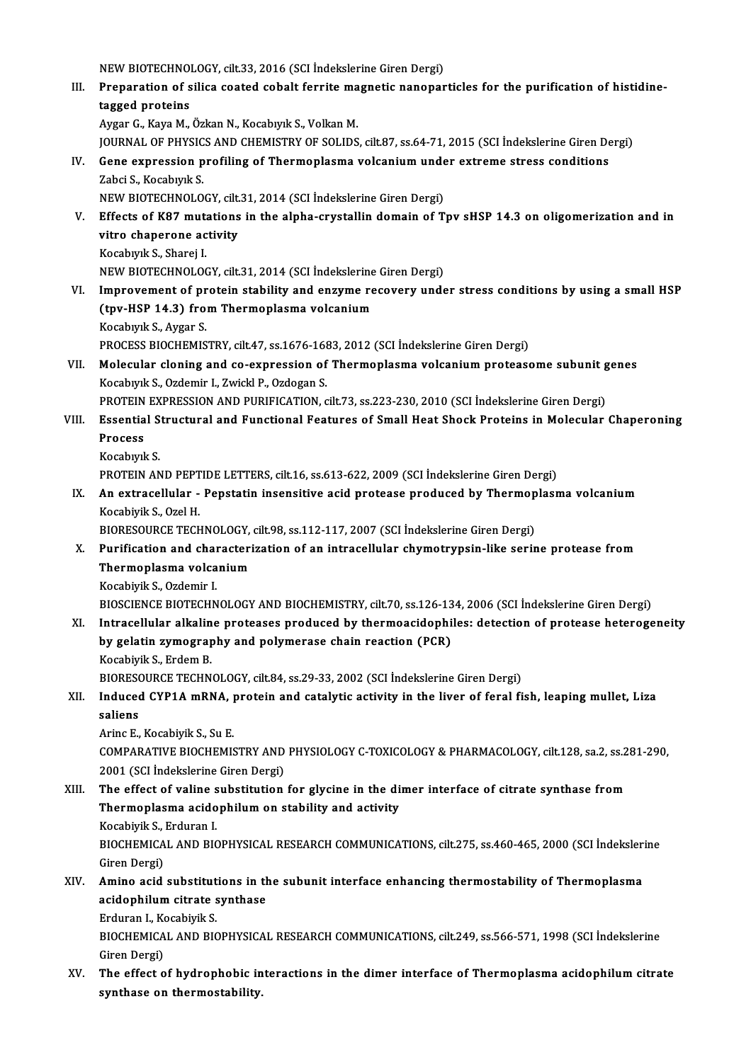NEW BIOTECHNOLOGY, cilt.33, 2016 (SCI İndekslerine Giren Dergi)<br>Preperation of silise seeted sebelt ferrite magnetis penener III. Preparation of silica coated cobalt ferrite magnetic nanoparticles for the purification of histidine-<br>tagged proteins NEW BIOTECHNO<br>Preparation of s<br>tagged proteins<br>Avgan C. Kave M AygarG.,KayaM.,ÖzkanN.,KocabıyıkS.,VolkanM. tagged proteins<br>Aygar G., Kaya M., Özkan N., Kocabıyık S., Volkan M.<br>JOURNAL OF PHYSICS AND CHEMISTRY OF SOLIDS, cilt.87, ss.64-71, 2015 (SCI İndekslerine Giren Dergi)<br>Cene expression prefiling of Thermonlasma volcanium un Aygar G., Kaya M., Özkan N., Kocabıyık S., Volkan M.<br>JOURNAL OF PHYSICS AND CHEMISTRY OF SOLIDS, cilt.87, ss.64-71, 2015 (SCI İndekslerine Giren De<br>IV. Gene expression profiling of Thermoplasma volcanium under extreme stre **JOURNAL OF PHYSIC<br>Gene expression p<br>Zabci S., Kocabıyık S.<br>NEW PIOTECHNOLO** Gene expression profiling of Thermoplasma volcanium unde<br>Zabci S., Kocabıyık S.<br>NEW BIOTECHNOLOGY, cilt.31, 2014 (SCI İndekslerine Giren Dergi)<br>Effects of K97 mutations in the alpha exustallin demain of T. Zabci S., Kocabıyık S.<br>NEW BIOTECHNOLOGY, cilt.31, 2014 (SCI İndekslerine Giren Dergi)<br>V. Effects of K87 mutations in the alpha-crystallin domain of Tpv sHSP 14.3 on oligomerization and in<br>vitre shanenee astivity NEW BIOTECHNOLOGY, cilt.<br>Effects of K87 mutations<br>vitro chaperone activity<br>Kosabuul: S. Shanai I Effects of K87 muta<br>vitro chaperone ac<br>Kocabıyık S., Sharej I.<br>NEW PIOTECHNOLOG vitro chaperone activity<br>Kocabıyık S., Sharej I.<br>NEW BIOTECHNOLOGY, cilt.31, 2014 (SCI İndekslerine Giren Dergi) VI. Improvement of protein stability and enzyme recovery under stress conditions by using a smal HSP NEW BIOTECHNOLOGY, cilt.31, 2014 (SCI İndekslerine<br>Improvement of protein stability and enzyme re<br>(tpv-HSP 14.3) from Thermoplasma volcanium<br>Kosphyuk S. Avgar S Improvement of pr<br>(tpv-HSP 14.3) fro:<br>Kocabıyık S., Aygar S.<br>PROCESS PIOCHEMIS Kocabıyık S., Aygar S.<br>PROCESS BIOCHEMISTRY, cilt.47, ss.1676-1683, 2012 (SCI İndekslerine Giren Dergi) Kocabıyık S., Aygar S.<br>PROCESS BIOCHEMISTRY, cilt.47, ss.1676-1683, 2012 (SCI İndekslerine Giren Dergi)<br>VII. Molecular cloning and co-expression of Thermoplasma volcanium proteasome subunit genes<br>Kosphyul: S. Ordomin L. Zw PROCESS BIOCHEMISTRY, cilt.47, ss.1676-168<br>Molecular cloning and co-expression of<br>Kocabıyık S., Ozdemir I., Zwickl P., Ozdogan S.<br>PROTEIN EXPRESSION AND BURIEICATION 4 Molecular cloning and co-expression of Thermoplasma volcanium proteasome subunit g<br>Kocabıyık S., Ozdemir I., Zwickl P., Ozdogan S.<br>PROTEIN EXPRESSION AND PURIFICATION, cilt.73, ss.223-230, 2010 (SCI İndekslerine Giren Derg Kocabıyık S., Ozdemir I., Zwickl P., Ozdogan S.<br>PROTEIN EXPRESSION AND PURIFICATION, cilt.73, ss.223-230, 2010 (SCI İndekslerine Giren Dergi)<br>VIII. Essential Structural and Functional Features of Small Heat Shock Prote PROTEIN EXPRESSION AND PURIFICATION, cilt73, ss.223-230, 2010 (SCI Indekslerine Giren Dergi) KocabıyıkS. Process<br>Kocabıyık S.<br>PROTEIN AND PEPTIDE LETTERS, cilt.16, ss.613-622, 2009 (SCI İndekslerine Giren Dergi)<br>An extragellular - Benstatin ingensitiye asid protease produced by Thermenlası IX. An extracellular - Pepstatin insensitive acid protease produced by Thermoplasma volcanium<br>Kocabiyik S., Ozel H. PROTEIN AND PEPT<br>An extracellular -<br>Kocabiyik S., Ozel H.<br>PIOPESOUPCE TECH An extracellular - Pepstatin insensitive acid protease produced by Thermop<br>Kocabiyik S., Ozel H.<br>BIORESOURCE TECHNOLOGY, cilt.98, ss.112-117, 2007 (SCI İndekslerine Giren Dergi)<br>Purification and characterization of an intr X. Purification and characterization of an intracellular chymotrypsin-like serine protease from<br>Thermoplasma volcanium BIORESOURCE TECHNOLOGY,<br>Purification and characteri<br>Thermoplasma volcanium<br>Kosabivik S. Ordamir L KocabiyikS.,Ozdemir I. BIOSCIENCE BIOTECHNOLOGY AND BIOCHEMISTRY, cilt.70, ss.126-134, 2006 (SCI İndekslerine Giren Dergi) XI. Intracellular alkaline proteases produced by thermoacidophiles: detection of protease heterogeneity BIOSCIENCE BIOTECHNOLOGY AND BIOCHEMISTRY, cilt.70, ss.126-13<br>Intracellular alkaline proteases produced by thermoacidophi<br>by gelatin zymography and polymerase chain reaction (PCR)<br>Kosphirik S. Erdem P Intracellular alkalin<br>by gelatin zymograp<br>Kocabiyik S., Erdem B.<br>PIOPESOUPCE TECHN by gelatin zymography and polymerase chain reaction (PCR)<br>Kocabiyik S., Erdem B.<br>BIORESOURCE TECHNOLOGY, cilt.84, ss.29-33, 2002 (SCI İndekslerine Giren Dergi)<br>Indused CYR1A mBNA, pretain and satalytiq astivity in the live Kocabiyik S., Erdem B.<br>BIORESOURCE TECHNOLOGY, cilt.84, ss.29-33, 2002 (SCI İndekslerine Giren Dergi)<br>XII. Induced CYP1A mRNA, protein and catalytic activity in the liver of feral fish, leaping mullet, Liza BIORESO<br>Induceo<br>saliens<br>Aring E **Induced CYP1A mRNA, <sub>]</sub><br>saliens<br>Arinc E., Kocabiyik S., Su E.<br>COMBARATIVE PIOCHEMIS** saliens<br>Arinc E., Kocabiyik S., Su E.<br>COMPARATIVE BIOCHEMISTRY AND PHYSIOLOGY C-TOXICOLOGY & PHARMACOLOGY, cilt.128, sa.2, ss.281-290,<br>2001 (SCLIndekslarine Ciren Dergi) Arinc E., Kocabiyik S., Su E.<br>COMPARATIVE BIOCHEMISTRY AND<br>2001 (SCI İndekslerine Giren Dergi)<br>The effect of valine substitution COMPARATIVE BIOCHEMISTRY AND PHYSIOLOGY C-TOXICOLOGY & PHARMACOLOGY, cilt.128, sa.2, ss.2<br>2001 (SCI Indekslerine Giren Dergi)<br>XIII. The effect of valine substitution for glycine in the dimer interface of citrate synthase f 2001 (SCI İndekslerine Giren Dergi)<br>The effect of valine substitution for glycine in the di<br>Thermoplasma acidophilum on stability and activity The effect of valine s<br>Thermoplasma acido<br>Kocabiyik S., Erduran I.<br>PIOCHEMICAL AND PIC Thermoplasma acidophilum on stability and activity<br>Kocabiyik S., Erduran I.<br>BIOCHEMICAL AND BIOPHYSICAL RESEARCH COMMUNICATIONS, cilt.275, ss.460-465, 2000 (SCI İndekslerine<br>Giren Dergi) Kocabiyik S., Erduran I. BIOCHEMICAL AND BIOPHYSICAL RESEARCH COMMUNICATIONS, cilt.275, ss.460-465, 2000 (SCI Indeksler<br>Giren Dergi)<br>XIV. Amino acid substitutions in the subunit interface enhancing thermostability of Thermoplasma<br>acidentilum situa Giren Dergi)<br>Amino acid substitutions in th<br>acidophilum citrate synthase<br>Erduren L Kosphirik S Amino acid substitut<br>acidophilum citrate s<br>Erduran I., Kocabiyik S.<br>PIOCHEMICAL AND PIC acidophilum citrate synthase<br>Erduran I., Kocabiyik S.<br>BIOCHEMICAL AND BIOPHYSICAL RESEARCH COMMUNICATIONS, cilt.249, ss.566-571, 1998 (SCI İndekslerine<br>Ciron Dergi) Erduran I., Ko<br>BIOCHEMICA<br>Giren Dergi)<br>The effect o XV. The effect of hydrophobic interactions in the dimer interface of Thermoplasma acidophilumcitrate

synthase on thermostability.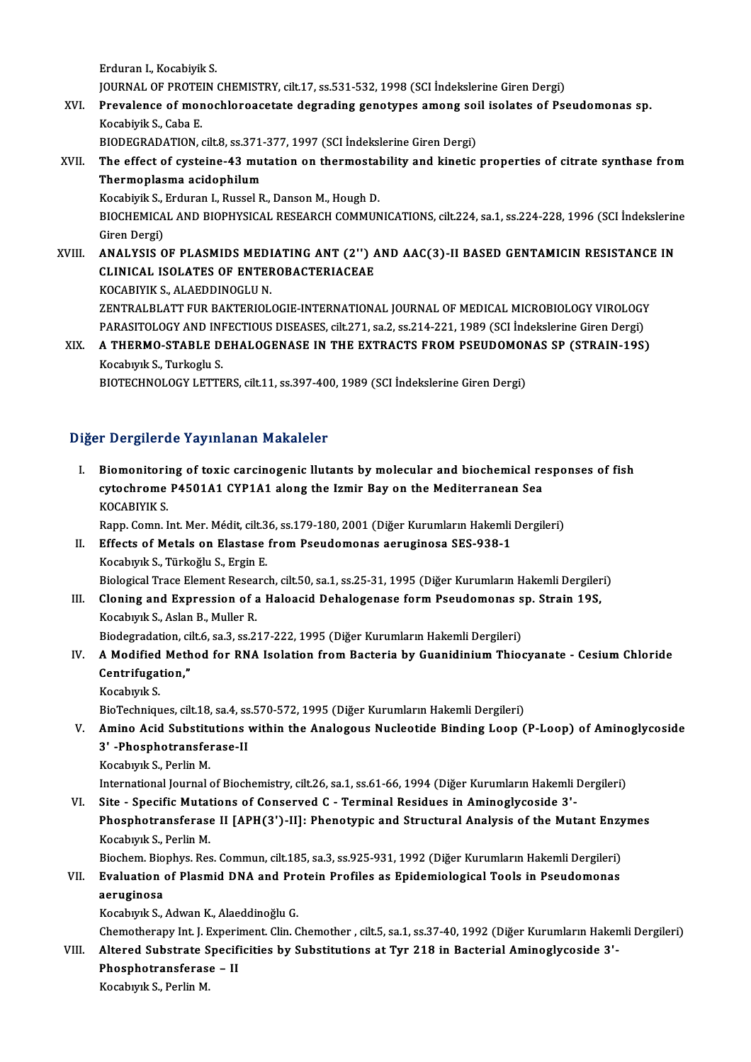ErduranI.,KocabiyikS. JOURNAL OF PROTEIN CHEMISTRY, cilt.17, ss.531-532, 1998 (SCI İndekslerine Giren Dergi)

Erduran I., Kocabiyik S.<br>JOURNAL OF PROTEIN CHEMISTRY, cilt.17, ss.531-532, 1998 (SCI İndekslerine Giren Dergi)<br>XVI. Prevalence of monochloroacetate degrading genotypes among soil isolates of Pseudomonas sp.<br>Kasebiyik **JOURNAL OF PROTE<br>Prevalence of mor<br>Kocabiyik S., Caba E.<br>BIODECRADATION** Prevalence of monochloroacetate degrading genotypes among soi<br>Kocabiyik S., Caba E.<br>BIODEGRADATION, cilt.8, ss.371-377, 1997 (SCI İndekslerine Giren Dergi)<br>The effect of systeine 43 mutation en thermestability and kinetis.

Kocabiyik S., Caba E.<br>BIODEGRADATION, cilt.8, ss.371-377, 1997 (SCI İndekslerine Giren Dergi)<br>XVII. The effect of cysteine-43 mutation on thermostability and kinetic properties of citrate synthase from<br>Thermonlarma asi BIODEGRADATION, cilt.8, ss.371-377, 1997 (SCI Indekslerine Giren Dergi)<br>The effect of cysteine-43 mutation on thermostability and kinetic<br>Thermoplasma acidophilum<br>Kocabiyik S., Erduran I., Russel R., Danson M., Hough D. The effect of cysteine-43 mutation on thermostal<br>Thermoplasma acidophilum<br>Kocabiyik S., Erduran I., Russel R., Danson M., Hough D.<br>PIOCHEMICAL AND PIOPHYSICAL PESEARCH COMMIN Thermoplasma acidophilum<br>Kocabiyik S., Erduran I., Russel R., Danson M., Hough D.<br>BIOCHEMICAL AND BIOPHYSICAL RESEARCH COMMUNICATIONS, cilt.224, sa.1, ss.224-228, 1996 (SCI İndekslerine<br>Ciron Dargi) Kocabiyik S., 1<br>BIOCHEMICA<br>Giren Dergi)<br>ANAI YSIS O

BIOCHEMICAL AND BIOPHYSICAL RESEARCH COMMUNICATIONS, cilt.224, sa.1, ss.224-228, 1996 (SCI İndekslerin<br>Giren Dergi)<br>XVIII. ANALYSIS OF PLASMIDS MEDIATING ANT (2'') AND AAC(3)-II BASED GENTAMICIN RESISTANCE IN Giren Dergi)<br>ANALYSIS OF PLASMIDS MEDIATING ANT (2'') *f*<br>CLINICAL ISOLATES OF ENTEROBACTERIACEAE<br>KOCAPIVIK S. ALAEDDINOCLU N ANALYSIS OF PLASMIDS MEDI<br>CLINICAL ISOLATES OF ENTER<br>KOCABIYIK S., ALAEDDINOGLU N.<br>ZENTRALELATT EUR BAKTERIOL CLINICAL ISOLATES OF ENTEROBACTERIACEAE<br>KOCABIYIK S., ALAEDDINOGLU N.<br>ZENTRALBLATT FUR BAKTERIOLOGIE-INTERNATIONAL JOURNAL OF MEDICAL MICROBIOLOGY VIROLOGY

PARASITOLOGY AND INFECTIOUS DISEASES, cilt.271, sa.2, ss.214-221, 1989 (SCI İndekslerine Giren Dergi) ZENTRALBLATT FUR BAKTERIOLOGIE-INTERNATIONAL JOURNAL OF MEDICAL MICROBIOLOGY VIROLOGY<br>PARASITOLOGY AND INFECTIOUS DISEASES, cilt.271, sa.2, ss.214-221, 1989 (SCI İndekslerine Giren Dergi)<br>XIX. A THERMO-STABLE DEHALOGEN

PARASITOLOGY AND INI<br><mark>A THERMO-STABLE D</mark><br>Kocabıyık S., Turkoglu S.<br>BIOTECHNOLOCY LETTE A THERMO-STABLE DEHALOGENASE IN THE EXTRACTS FROM PSEUDOMON<br>Kocabıyık S., Turkoglu S.<br>BIOTECHNOLOGY LETTERS, cilt.11, ss.397-400, 1989 (SCI İndekslerine Giren Dergi)

BIOTECHNOLOGY LETTERS, cilt.11, ss.397-400, 1989 (SCI İndekslerine Giren Dergi)<br>Diğer Dergilerde Yayınlanan Makaleler

I. Biomonitoring of toxic carcinogenic llutants by molecular and biochemical responses of fish r Borgnordo ray inidial rightstore<br>Biomonitoring of toxic carcinogenic llutants by molecular and biochemical re<br>cytochrome P4501A1 CYP1A1 along the Izmir Bay on the Mediterranean Sea<br>VOCARIVIK S Biomonitori<br>cytochrome<br>KOCABIYIK S.<br>Pann Comn J cytochrome P4501A1 CYP1A1 along the Izmir Bay on the Mediterranean Sea<br>KOCABIYIK S.<br>Rapp. Comn. Int. Mer. Médit, cilt.36, ss.179-180, 2001 (Diğer Kurumların Hakemli Dergileri)<br>Effects of Metals on Elestase from Beaudemonas

## KOCABIYIK S.<br>Rapp. Comn. Int. Mer. Médit, cilt.36, ss.179-180, 2001 (Diğer Kurumların Hakemli<br>II. Effects of Metals on Elastase from Pseudomonas aeruginosa SES-938-1<br>Kocabıyık S., Türkoğlu S., Ergin E. Rapp. Comn. Int. Mer. Médit, cilt.3<br>Effects of Metals on Elastase<br>Kocabıyık S., Türkoğlu S., Ergin E.<br>Pielegical Trace Element Bessare Biological Trace Element Research, cilt.50, sa.1, ss.25-31, 1995 (Diğer Kurumların Hakemli Dergileri) Kocabıyık S., Türkoğlu S., Ergin E.<br>Biological Trace Element Research, cilt.50, sa.1, ss.25-31, 1995 (Diğer Kurumların Hakemli Dergiler<br>III. Cloning and Expression of a Haloacid Dehalogenase form Pseudomonas sp. Strain 19S

## Biological Trace Element Resea<br>Cloning and Expression of a<br>Kocabıyık S., Aslan B., Muller R.<br>Piodogradation silt 6, 23, 25, 25 Cloning and Expression of a Haloacid Dehalogenase form Pseudomonas s<br>Kocabıyık S., Aslan B., Muller R.<br>Biodegradation, cilt.6, sa.3, ss.217-222, 1995 (Diğer Kurumların Hakemli Dergileri)<br>A Modified Method for BNA Isolation

## Kocabıyık S., Aslan B., Muller R.<br>Biodegradation, cilt.6, sa.3, ss.217-222, 1995 (Diğer Kurumların Hakemli Dergileri)<br>IV. A Modified Method for RNA Isolation from Bacteria by Guanidinium Thiocyanate - Cesium Chloride<br>C Biodegradation, ci<br>A Modified Meth<br>Centrifugation,"<br>Koseburk S A Modified<br>Centrifugat<br>Kocabıyık S.<br>BiaTeshniav Centrifugation,"<br>Kocabıyık S.<br>BioTechniques, cilt.18, sa.4, ss.570-572, 1995 (Diğer Kurumların Hakemli Dergileri)<br>Amine Asid Substitutions within the Analogous Nusleatide Binding Leop (

- Kocabıyık S.<br>BioTechniques, cilt.18, sa.4, ss.570-572, 1995 (Diğer Kurumların Hakemli Dergileri)<br>V. Amino Acid Substitutions within the Analogous Nucleotide Binding Loop (P-Loop) of Aminoglycoside<br>3' -Phosphotransferas BioTechniques, cilt.18, sa.4, ss<br>Amino Acid Substitutions<br>3' -Phosphotransferase-II<br>Kosabuuk S. Borlin M
	- Kocabıyık S., Perlin M.

International Journal of Biochemistry, cilt.26, sa.1, ss.61-66, 1994 (Diğer Kurumların Hakemli Dergileri)

VI. Site - Specific Mutations of Conserved C - Terminal Residues in Aminoglycoside 3'-International Journal of Biochemistry, cilt.26, sa.1, ss.61-66, 1994 (Diğer Kurumların Hakemli Dergileri)<br>Site - Specific Mutations of Conserved C - Terminal Residues in Aminoglycoside 3'-<br>Phosphotransferase II [APH(3')-II Site - Specific Mutat<br>Phosphotransferase<br>Kocabıyık S., Perlin M.<br>Piechem. Biophyr. Bes Phosphotransferase II [APH(3')-II]: Phenotypic and Structural Analysis of the Mutant Enzy<br>Kocabıyık S., Perlin M.<br>Biochem. Biophys. Res. Commun, cilt.185, sa.3, ss.925-931, 1992 (Diğer Kurumların Hakemli Dergileri)<br>Evaluat

## Kocabıyık S., Perlin M.<br>Biochem. Biophys. Res. Commun, cilt.185, sa.3, ss.925-931, 1992 (Diğer Kurumların Hakemli Dergileri)<br>VII. Evaluation of Plasmid DNA and Protein Profiles as Epidemiological Tools in Pseudomonas Biochem Bio<br>Evaluation<br>aeruginosa<br>Kosabuuk S Evaluation of Plasmid DNA and Pro<br>aeruginosa<br>Kocabıyık S., Adwan K., Alaeddinoğlu G.<br>Chametharany Int J. Evneriment Clin C

**aeruginosa**<br>Kocabıyık S., Adwan K., Alaeddinoğlu G.<br>Chemotherapy Int. J. Experiment. Clin. Chemother , cilt.5, sa.1, ss.37-40, 1992 (Diğer Kurumların Hakemli Dergileri) Kocabıyık S., Adwan K., Alaeddinoğlu G.<br>Chemotherapy Int. J. Experiment. Clin. Chemother , cilt.5, sa.1, ss.37-40, 1992 (Diğer Kurumların Haken<br>VIII. Altered Substrate Specificities by Substitutions at Tyr 218 in Bacterial

Chemotherapy Int. J. Expering<br>Altered Substrate Specific<br>Phosphotransferase – II<br>Kosphynk S. Barlin M Altered Substrate S<br>Phosphotransferas<br>Kocabıyık S., Perlin M.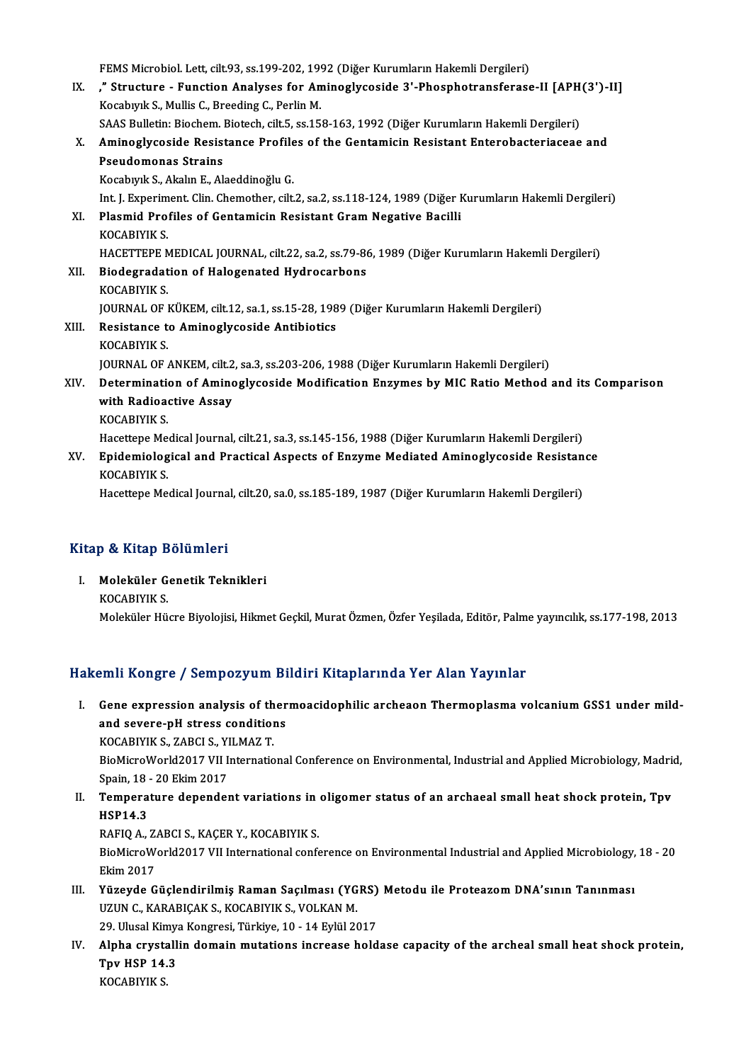FEMS Microbiol. Lett, cilt.93, ss.199-202, 1992 (Diğer Kurumların Hakemli Dergileri)<br>"Structure - Eunstien Analyses fan Aminoslyseside 3', Phesphetransforass

FEMS Microbiol. Lett, cilt.93, ss.199-202, 1992 (Diğer Kurumların Hakemli Dergileri)<br>IX. ," Structure - Function Analyses for Aminoglycoside 3'-Phosphotransferase-II [APH(3')-II] FEMS Microbiol. Lett, cilt.93, ss.199-202, 199<br>**"Structure - Function Analyses for An**<br>Kocabıyık S., Mullis C., Breeding C., Perlin M.<br>SAAS Bullatin: Biosham Biotash, silt E. 88,15 " Structure - Function Analyses for Aminoglycoside 3'-Phosphotransferase-II [APH<br>Kocabıyık S., Mullis C., Breeding C., Perlin M.<br>SAAS Bulletin: Biochem. Biotech, cilt.5, ss.158-163, 1992 (Diğer Kurumların Hakemli Dergileri Kocabıyık S., Mullis C., Breeding C., Perlin M.<br>SAAS Bulletin: Biochem. Biotech, cilt.5, ss.158-163, 1992 (Diğer Kurumların Hakemli Dergileri)<br>X. Aminoglycoside Resistance Profiles of the Gentamicin Resistant Enterobac SAAS Bulletin: Biochem. Biotech, cilt.5, ss.158-163, 1992 (Diğer Kurumların Hakemli Dergileri)<br>Aminoglycoside Resistance Profiles of the Gentamicin Resistant Enterobacteriaceae<br>Pseudomonas Strains<br>Kocabıyık S., Akalın E., Aminoglycoside Resistance Profile<br>Pseudomonas Strains<br>Kocabıyık S., Akalın E., Alaeddinoğlu G.<br>Int I. Evneriment Clin Chemether, cilt Pseudomonas Strains<br>Kocabıyık S., Akalın E., Alaeddinoğlu G.<br>Int. J. Experiment. Clin. Chemother, cilt.2, sa.2, ss.118-124, 1989 (Diğer Kurumların Hakemli Dergileri)<br>Plasmid Prefiles of Contamicin Posistant Cram Nogative P XI. Plasmid Profiles of Gentamicin Resistant Gram Negative Bacilli KOCABIYIK S. Int. J. Experim<br><mark>Plasmid Pro</mark>:<br>KOCABIYIK S.<br>HACETTERE N Plasmid Profiles of Gentamicin Resistant Gram Negative Bacilli<br>KOCABIYIK S.<br>HACETTEPE MEDICAL JOURNAL, cilt.22, sa.2, ss.79-86, 1989 (Diğer Kurumların Hakemli Dergileri)<br>Piodegradation of Halagenated Hudrosarbons XII. Biodegradation of Halogenated Hydrocarbons<br>KOCABIYIK S. HACETTEPE M<br>Biodegradat<br>KOCABIYIK S.<br>JOUPMAL OF J Biodegradation of Halogenated Hydrocarbons<br>KOCABIYIK S.<br>JOURNAL OF KÜKEM, cilt.12, sa.1, ss.15-28, 1989 (Diğer Kurumların Hakemli Dergileri)<br>Registanse te Aminosluseside Antibietiss XIII. Resistance to Aminoglycoside Antibiotics<br>KOCABIYIK S. **JOURNAL OF I<br>Resistance t<br>KOCABIYIK S.<br>JOURNAL OF :** Resistance to Aminoglycoside Antibiotics<br>KOCABIYIK S.<br>JOURNAL OF ANKEM, cilt.2, sa.3, ss.203-206, 1988 (Diğer Kurumların Hakemli Dergileri)<br>Determination of Aminoglycoside Modification Engumes by MLC Batie Method KOCABIYIK S.<br>JOURNAL OF ANKEM, cilt.2, sa.3, ss.203-206, 1988 (Diğer Kurumların Hakemli Dergileri)<br>XIV. Determination of Aminoglycoside Modification Enzymes by MIC Ratio Method and its Comparison<br>vith Pediesetive Assex **JOURNAL OF ANKEM, cilt.2**<br>Determination of Amino<br>with Radioactive Assay<br><sup>VOCAPIVIV S</sup> Determination<br>with Radioa<br>KOCABIYIK S.<br>Hassttans Ma with Radioactive Assay<br>KOCABIYIK S.<br>Hacettepe Medical Journal, cilt.21, sa.3, ss.145-156, 1988 (Diğer Kurumların Hakemli Dergileri)<br>Enidemialegical and Prastical Aspests of Engyme Mediated Amineglyceside Pesistan KOCABIYIK S.<br>Hacettepe Medical Journal, cilt.21, sa.3, ss.145-156, 1988 (Diğer Kurumların Hakemli Dergileri)<br>XV. Epidemiological and Practical Aspects of Enzyme Mediated Aminoglycoside Resistance<br>KOCABIYIK S. Hacettepe Me<br><mark>Epidemiolog</mark><br>KOCABIYIK S.<br>Hacettane Me Hacettepe Medical Journal, cilt.20, sa.0, ss.185-189, 1987 (Diğer Kurumların Hakemli Dergileri)

### Kitap & Kitap Bölümleri

Itap & Kitap Bölümleri<br>I. Moleküler Genetik Teknikleri<br>KOCABIVIK S p & IItap B<br>Moleküler G<br>KOCABIYIK S.<br>Moleküler Hü

KOCABIYIK S.<br>Moleküler Hücre Biyolojisi, Hikmet Geçkil, Murat Özmen, Özfer Yeşilada, Editör, Palme yayıncılık, ss.177-198, 2013

## Hakemli Kongre / Sempozyum Bildiri Kitaplarında Yer Alan Yayınlar

I. Gene expression analysis of thermoacidophilic archeaon Thermoplasma volcanium GSS1 under mild-Find severes company and severe-pH stress conditions<br>and severe-pH stress conditions<br>COCARIVIV S 7ARCLS VILMAZT Gene expression analysis of th<br>and severe-pH stress condition<br>KOCABIYIK S., ZABCI S., YILMAZ T.<br>PioMigroWorld2017 VII Internatio

KOCABIYIK S., ZABCI S., YILMAZ T.

BioMicroWorld2017 VII International Conference on Environmental, Industrial and Applied Microbiology, Madrid, BioMicroWorld2017 VII International Conference on Environmental, Industrial and Applied Microbiology, Madri<br>Spain, 18 - 20 Ekim 2017<br>II. Temperature dependent variations in oligomer status of an archaeal small heat shock p

Spain, 18 - 20 Ekim 2017<br>Temperature depende<br>HSP14.3 Temperature dependent variations in<br>HSP14.3<br>RAFIQ A., ZABCI S., KAÇER Y., KOCABIYIK S.<br>PieMisreWerld2017 VII International son*f* 

RAFIQ A, ZABCI S, KAÇER Y, KOCABIYIK S.

BioMicroWorld2017 VII International conference on Environmental Industrial and Applied Microbiology, 18 - 20<br>Ekim 2017 BioMicroWorld2017 VII International conference on Environmental Industrial and Applied Microbiology,<br>Ekim 2017<br>III. Yüzeyde Güçlendirilmiş Raman Saçılması (YGRS) Metodu ile Proteazom DNA'sının Tanınması<br>IIZIIN G KARARIGAK

Ekim 2017<br>Yüzeyde Güçlendirilmiş Raman Saçılması (YG<br>UZUN C., KARABIÇAK S., KOCABIYIK S., VOLKAN M.<br>20 Ulysel Kimye Kongresi Türkiye 10, 14 Evlül 20 Yüzeyde Güçlendirilmiş Raman Saçılması (YGRS)<br>UZUN C., KARABIÇAK S., KOCABIYIK S., VOLKAN M.<br>29. Ulusal Kimya Kongresi, Türkiye, 10 - 14 Eylül 2017<br>Alpha envetallin damain mutationa inexesse hald

UZUN C., KARABIÇAK S., KOCABIYIK S., VOLKAN M.<br>29. Ulusal Kimya Kongresi, Türkiye, 10 - 14 Eylül 2017<br>IV. Alpha crystallin domain mutations increase holdase capacity of the archeal small heat shock protein,<br>Tay HSP 14. 29. Ulusal Kimy;<br>Alpha crystall<br>Tpv HSP 14.3<br><sup>VOCAPIVIV S</sup> Alpha crysta<br>Tpv HSP 14.<br>KOCABIYIK S.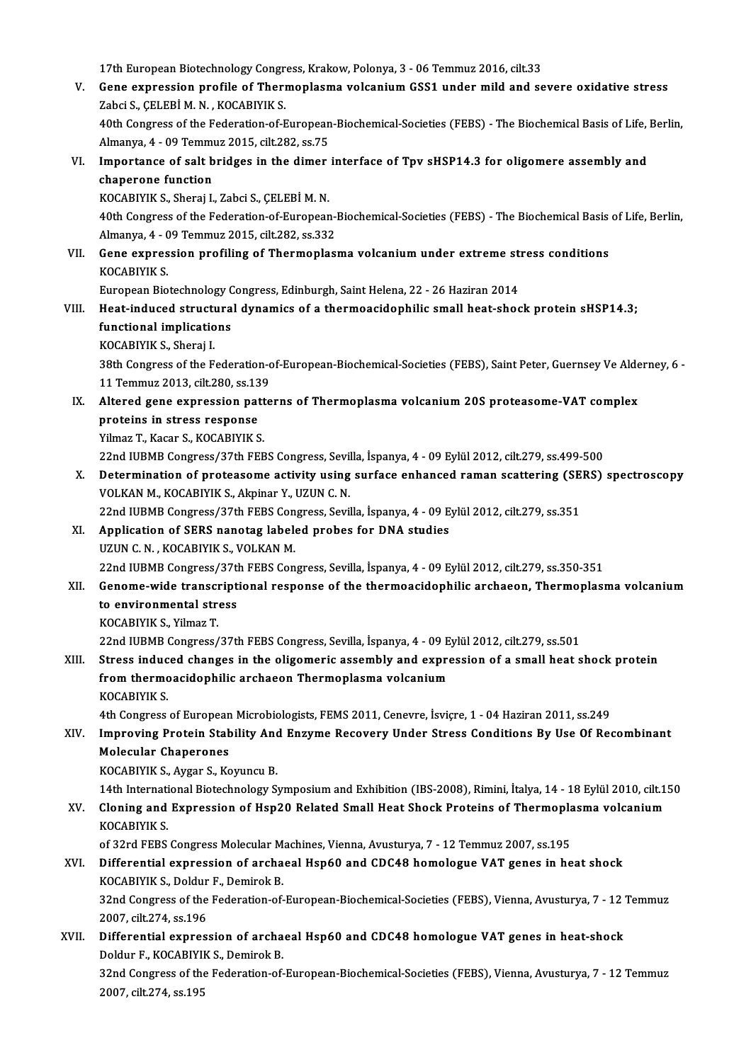17th European Biotechnology Congress, Krakow, Polonya, 3 - 06 Temmuz 2016, cilt.33

- V. Gene expression profile of Thermoplasma volcaniumGSS1 under mild and severe oxidative stress Zabci S., ÇELEBİM. N., KOCABIYIK S. Gene expression profile of Thermoplasma volcanium GSS1 under mild and severe oxidative stress<br>Zabci S., ÇELEBİ M. N. , KOCABIYIK S.<br>40th Congress of the Federation-of-European-Biochemical-Societies (FEBS) - The Biochemical Zabci S., ÇELEBİ M. N. , KOCABIYIK S.<br>40th Congress of the Federation-of-European<br>Almanya, 4 - 09 Temmuz 2015, cilt.282, ss.75<br>Importance of salt bridses in the dimer
- 40th Congress of the Federation-of-European-Biochemical-Societies (FEBS) The Biochemical Basis of Life,<br>Almanya, 4 09 Temmuz 2015, cilt.282, ss.75<br>VI. Importance of salt bridges in the dimer interface of Tpv sHSP14.3 f Almanya, 4 - 09 Temmuz 2015, cilt.282, ss.75<br>Importance of salt bridges in the dimer<br>chaperone function<br>KOCABIYIK S., Sheraj I., Zabci S., CELEBİ M. N. Importance of salt bridges in the dimer<br>chaperone function<br>KOCABIYIK S., Sheraj I., Zabci S., ÇELEBİM.N.<br>40th Congress of the Eederation of European

chaperone function<br>KOCABIYIK S., Sheraj I., Zabci S., ÇELEBİ M. N.<br>40th Congress of the Federation-of-European-Biochemical-Societies (FEBS) - The Biochemical Basis of Life, Berlin, KOCABIYIK S., Sheraj I., Zabci S., ÇELEBİ M. N.<br>40th Congress of the Federation-of-European-<br>Almanya, 4 - 09 Temmuz 2015, cilt.282, ss.332<br>Cone expression prefiling of Thermonlas 40th Congress of the Federation-of-European-Biochemical-Societies (FEBS) - The Biochemical Basis<br>Almanya, 4 - 09 Temmuz 2015, cilt.282, ss.332<br>VII. Gene expression profiling of Thermoplasma volcanium under extreme stress c

Almanya, 4 - 0<br>Gene expres<br>KOCABIYIK S.<br>Europeen Bio Gene expression profiling of Thermoplasma volcanium under extreme st<br>KOCABIYIK S.<br>European Biotechnology Congress, Edinburgh, Saint Helena, 22 - 26 Haziran 2014<br>Heet indused structurel dynamics of a thermoesidenhilis small

KOCABIYIK S.<br>European Biotechnology Congress, Edinburgh, Saint Helena, 22 - 26 Haziran 2014<br>VIII. Heat-induced structural dynamics of a thermoacidophilic small heat-shock protein sHSP14.3;<br>functional impliestions European Biotechnology C<br>Heat-induced structura<br>functional implications<br>KOCAPIVIK S. Shanai I Heat-induced struct<br>functional implicatio<br>KOCABIYIK S., Sheraj I.<br><sup>20th Congress of the E</sup>

functional implications<br>KOCABIYIK S., Sheraj I.<br>38th Congress of the Federation-of-European-Biochemical-Societies (FEBS), Saint Peter, Guernsey Ve Alderney, 6 KOCABIYIK S., Sheraj I.<br>38th Congress of the Federation-c<br>11 Temmuz 2013, cilt.280, ss.139 38th Congress of the Federation-of-European-Biochemical-Societies (FEBS), Saint Peter, Guernsey Ve Alde<br>11 Temmuz 2013, cilt.280, ss.139<br>IX. Altered gene expression patterns of Thermoplasma volcanium 20S proteasome-VAT com

11 Temmuz 2013, cilt.280, ss.13<br>Altered gene expression pat<br>proteins in stress response<br><sup>Vilmor T.</sup> Keen S. KOCABIVIK S Altered gene expression patt<br>proteins in stress response<br>Yilmaz T., Kacar S., KOCABIYIK S.<br>22nd WPMP Congress (27th FFP

proteins in stress response<br>22nd IUBMB Congress/37th FEBS Congress, Sevilla, İspanya, 4 - 09 Eylül 2012, cilt.279, ss.499-500<br>22nd IUBMB Congress/37th FEBS Congress, Sevilla, İspanya, 4 - 09 Eylül 2012, cilt.279, ss.499-50 Yilmaz T., Kacar S., KOCABIYIK S.<br>22nd IUBMB Congress/37th FEBS Congress, Sevilla, İspanya, 4 - 09 Eylül 2012, cilt.279, ss.499-500<br>X. Determination of proteasome activity using surface enhanced raman scattering (SERS) spe

22nd IUBMB Congress/37th FEBS Congress, Sevil<br>Determination of proteasome activity using<br>VOLKAN M., KOCABIYIK S., Akpinar Y., UZUN C. N. Determination of proteasome activity using surface enhanced raman scattering (SE<br>VOLKAN M., KOCABIYIK S., Akpinar Y., UZUN C. N.<br>22nd IUBMB Congress/37th FEBS Congress, Sevilla, İspanya, 4 - 09 Eylül 2012, cilt.279, ss.351

VOLKAN M., KOCABIYIK S., Akpinar Y., UZUN C. N.<br>22nd IUBMB Congress/37th FEBS Congress, Sevilla, İspanya, 4 - 09 E.<br>XI. Application of SERS nanotag labeled probes for DNA studies 22nd IUBMB Congress/37th FEBS Con<br>Application of SERS nanotag label<br>UZUN C. N., KOCABIYIK S., VOLKAN M.<br>22nd UIBMB Congress (27th EEBS Con 22nd IUBMB Congress/37th FEBS Congress, Sevilla, İspanya, 4 - 09 Eylül 2012, cilt.279, ss.350-351<br>22nd IUBMB Congress/37th FEBS Congress, Sevilla, İspanya, 4 - 09 Eylül 2012, cilt.279, ss.350-351 UZUN C. N. , KOCABIYIK S., VOLKAN M.<br>22nd IUBMB Congress/37th FEBS Congress, Sevilla, İspanya, 4 - 09 Eylül 2012, cilt.279, ss.350-351<br>XII. Genome-wide transcriptional response of the thermoacidophilic archaeon, Thermo

## 22nd IUBMB Congress/37t<br>Genome-wide transcript<br>to environmental stress<br>KOCAPIVIK S, Vilmar T Genome-wide transcr<br>to environmental str<br>KOCABIYIK S., Yilmaz T.<br>22nd UIBMB Congress ( to environmental stress<br>KOCABIYIK S., Yilmaz T.<br>22nd IUBMB Congress/37th FEBS Congress, Sevilla, İspanya, 4 - 09 Eylül 2012, cilt.279, ss.501<br>Stress indused shanges in the eligemenis assembly and expression of a small best

KOCABIYIK S., Yilmaz T.<br>22nd IUBMB Congress/37th FEBS Congress, Sevilla, İspanya, 4 - 09 Eylül 2012, cilt.279, ss.501<br>XIII. Stress induced changes in the oligomeric assembly and expression of a small heat shock protein 22nd IUBMB Congress/37th FEBS Congress, Sevilla, İspanya, 4 - 09 E<br>Stress induced changes in the oligomeric assembly and expres<br>from thermoacidophilic archaeon Thermoplasma volcanium<br>KOCAPIVIK S Stress induc<br>from thermo<br>KOCABIYIK S.<br>4th Congress from thermoacidophilic archaeon Thermoplasma volcanium<br>KOCABIYIK S.<br>4th Congress of European Microbiologists, FEMS 2011, Cenevre, İsviçre, 1 - 04 Haziran 2011, ss.249

KOCABIYIK S.<br>4th Congress of European Microbiologists, FEMS 2011, Cenevre, İsviçre, 1 - 04 Haziran 2011, ss.249<br>XIV. Improving Protein Stability And Enzyme Recovery Under Stress Conditions By Use Of Recombinant<br>Molecul Molecular Chaperones<br>KOCABIYIK S., Aygar S., Koyuncu B. Improving Protein Stability And<br>Molecular Chaperones<br>KOCABIYIK S., Aygar S., Koyuncu B.<br>14th International Biatechnology S.

14th International Biotechnology Symposium and Exhibition (IBS-2008), Rimini, İtalya, 14 - 18 Eylül 2010, cilt.150

KOCABIYIK S., Aygar S., Koyuncu B.<br>14th International Biotechnology Symposium and Exhibition (IBS-2008), Rimini, İtalya, 14 - 18 Eylül 2010, cilt<br>2001 XV. Cloning and Expression of Hsp20 Related Small Heat Shock Protei 14th Internati<br>Cloning and<br>KOCABIYIK S. Cloning and Expression of Hsp20 Related Small Heat Shock Proteins of Thermopla<br>KOCABIYIK S.<br>of 32rd FEBS Congress Molecular Machines, Vienna, Avusturya, 7 - 12 Temmuz 2007, ss.195<br>Differential expression of archaeol Hep60

## KOCABIYIK S.<br>of 32rd FEBS Congress Molecular Machines, Vienna, Avusturya, 7 - 12 Temmuz 2007, ss.195<br>XVI. Differential expression of archaeal Hsp60 and CDC48 homologue VAT genes in heat shock<br>XOCABIVIV S. Doldur E. Domirok of 32rd FEBS Congress Molecular M<br>Differential expression of archa<br>KOCABIYIK S., Doldur F., Demirok B.<br><sup>22nd</sup> Congress of the Eaderation of Differential expression of archaeal Hsp60 and CDC48 homologue VAT genes in heat shock<br>KOCABIYIK S., Doldur F., Demirok B.<br>32nd Congress of the Federation-of-European-Biochemical-Societies (FEBS), Vienna, Avusturya, 7 - 12 KOCABIYIK S., Doldur<br>32nd Congress of the<br>2007, cilt.274, ss.196 32nd Congress of the Federation-of-European-Biochemical-Societies (FEBS), Vienna, Avusturya, 7 - 12<br>2007, cilt.274, ss.196<br>XVII. Differential expression of archaeal Hsp60 and CDC48 homologue VAT genes in heat-shock<br>Deldur

## 2007, cilt.274, ss.196<br>Differential expression of archa<br>Doldur F., KOCABIYIK S., Demirok B.<br>22nd Congress of the Eaderation of Differential expression of archaeal Hsp60 and CDC48 homologue VAT genes in heat-shock<br>Doldur F., KOCABIYIK S., Demirok B.<br>32nd Congress of the Federation-of-European-Biochemical-Societies (FEBS), Vienna, Avusturya, 7 - 12

Doldur F., KOCABIYII<br>32nd Congress of the<br>2007, cilt.274, ss.195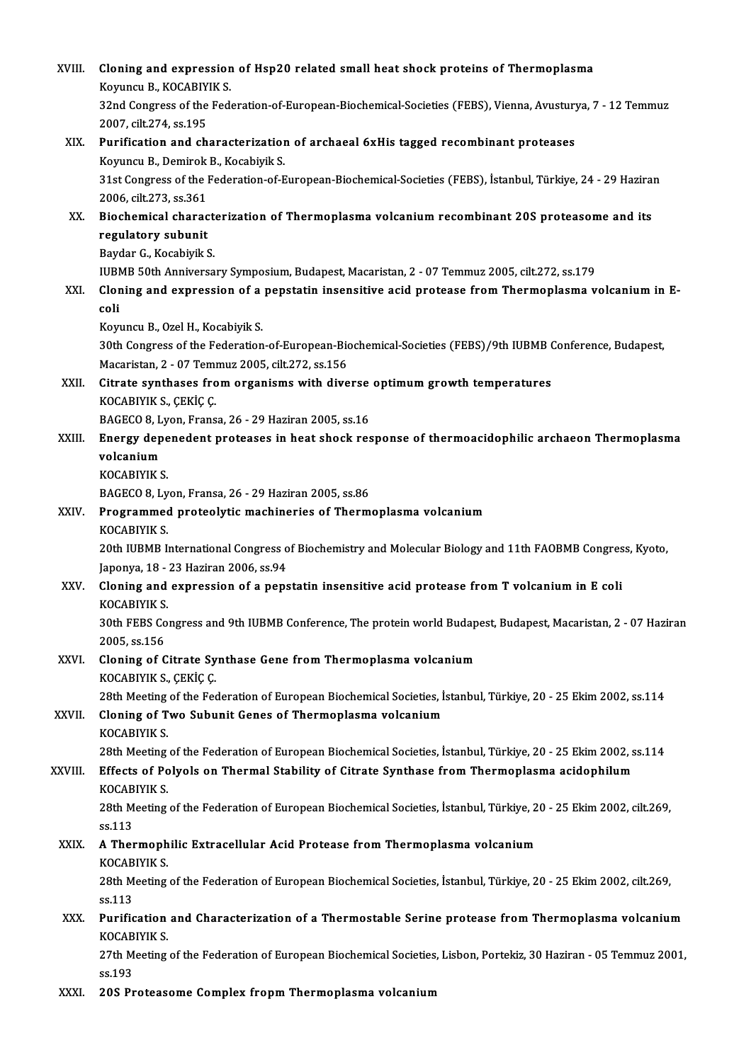| XVIII.  | Cloning and expression of Hsp20 related small heat shock proteins of Thermoplasma                                                 |
|---------|-----------------------------------------------------------------------------------------------------------------------------------|
|         | Koyuncu B., KOCABIYIK S.                                                                                                          |
|         | 32nd Congress of the Federation-of-European-Biochemical-Societies (FEBS), Vienna, Avusturya, 7 - 12 Temmuz                        |
|         | 2007, cilt 274, ss 195                                                                                                            |
| XIX.    | Purification and characterization of archaeal 6xHis tagged recombinant proteases                                                  |
|         | Koyuncu B., Demirok B., Kocabiyik S.                                                                                              |
|         | 31st Congress of the Federation-of-European-Biochemical-Societies (FEBS), İstanbul, Türkiye, 24 - 29 Haziran                      |
|         | 2006, cilt 273, ss 361                                                                                                            |
| XX.     | Biochemical characterization of Thermoplasma volcanium recombinant 20S proteasome and its                                         |
|         | regulatory subunit                                                                                                                |
|         | Baydar G., Kocabiyik S.<br>IUBMB 50th Anniversary Symposium, Budapest, Macaristan, 2 - 07 Temmuz 2005, cilt.272, ss.179           |
| XXI.    | Cloning and expression of a pepstatin insensitive acid protease from Thermoplasma volcanium in E-                                 |
|         | coli                                                                                                                              |
|         | Koyuncu B., Ozel H., Kocabiyik S.                                                                                                 |
|         | 30th Congress of the Federation-of-European-Biochemical-Societies (FEBS)/9th IUBMB Conference, Budapest,                          |
|         | Macaristan, 2 - 07 Temmuz 2005, cilt 272, ss 156                                                                                  |
| XXII.   | Citrate synthases from organisms with diverse optimum growth temperatures                                                         |
|         | KOCABIYIK S., ÇEKİÇ Ç.                                                                                                            |
|         | BAGECO 8, Lyon, Fransa, 26 - 29 Haziran 2005, ss.16                                                                               |
| XXIII.  | Energy depenedent proteases in heat shock response of thermoacidophilic archaeon Thermoplasma                                     |
|         | volcanium                                                                                                                         |
|         | KOCABIYIK S.<br>BAGECO 8, Lyon, Fransa, 26 - 29 Haziran 2005, ss 86                                                               |
| XXIV.   | Programmed proteolytic machineries of Thermoplasma volcanium                                                                      |
|         | <b>KOCABIYIK S.</b>                                                                                                               |
|         | 20th IUBMB International Congress of Biochemistry and Molecular Biology and 11th FAOBMB Congress, Kyoto,                          |
|         | Japonya, 18 - 23 Haziran 2006, ss 94                                                                                              |
| XXV.    | Cloning and expression of a pepstatin insensitive acid protease from T volcanium in E coli                                        |
|         | <b>KOCABIYIK S.</b>                                                                                                               |
|         | 30th FEBS Congress and 9th IUBMB Conference, The protein world Budapest, Budapest, Macaristan, 2 - 07 Haziran                     |
|         | 2005, ss 156                                                                                                                      |
| XXVI.   | Cloning of Citrate Synthase Gene from Thermoplasma volcanium<br>KOCABIYIK S., ÇEKİÇ Ç.                                            |
|         | 28th Meeting of the Federation of European Biochemical Societies, İstanbul, Türkiye, 20 - 25 Ekim 2002, ss.114                    |
| XXVII.  | Cloning of Two Subunit Genes of Thermoplasma volcanium                                                                            |
|         | KOCABIYIK S.                                                                                                                      |
|         | 28th Meeting of the Federation of European Biochemical Societies, Istanbul, Türkiye, 20 - 25 Ekim 2002, ss.114                    |
| XXVIII. | Effects of Polyols on Thermal Stability of Citrate Synthase from Thermoplasma acidophilum                                         |
|         | <b>KOCABIYIK S</b>                                                                                                                |
|         | 28th Meeting of the Federation of European Biochemical Societies, İstanbul, Türkiye, 20 - 25 Ekim 2002, cilt.269,                 |
|         | ss 113                                                                                                                            |
| XXIX.   | A Thermophilic Extracellular Acid Protease from Thermoplasma volcanium                                                            |
|         | KOCABIYIK S.<br>28th Meeting of the Federation of European Biochemical Societies, İstanbul, Türkiye, 20 - 25 Ekim 2002, cilt.269, |
|         | ss 113                                                                                                                            |
| XXX.    | Purification and Characterization of a Thermostable Serine protease from Thermoplasma volcanium                                   |
|         | KOCABIYIK S.                                                                                                                      |
|         | 27th Meeting of the Federation of European Biochemical Societies, Lisbon, Portekiz, 30 Haziran - 05 Temmuz 2001,                  |
|         | ss 193                                                                                                                            |
| XXXI.   | 20S Proteasome Complex fropm Thermoplasma volcanium                                                                               |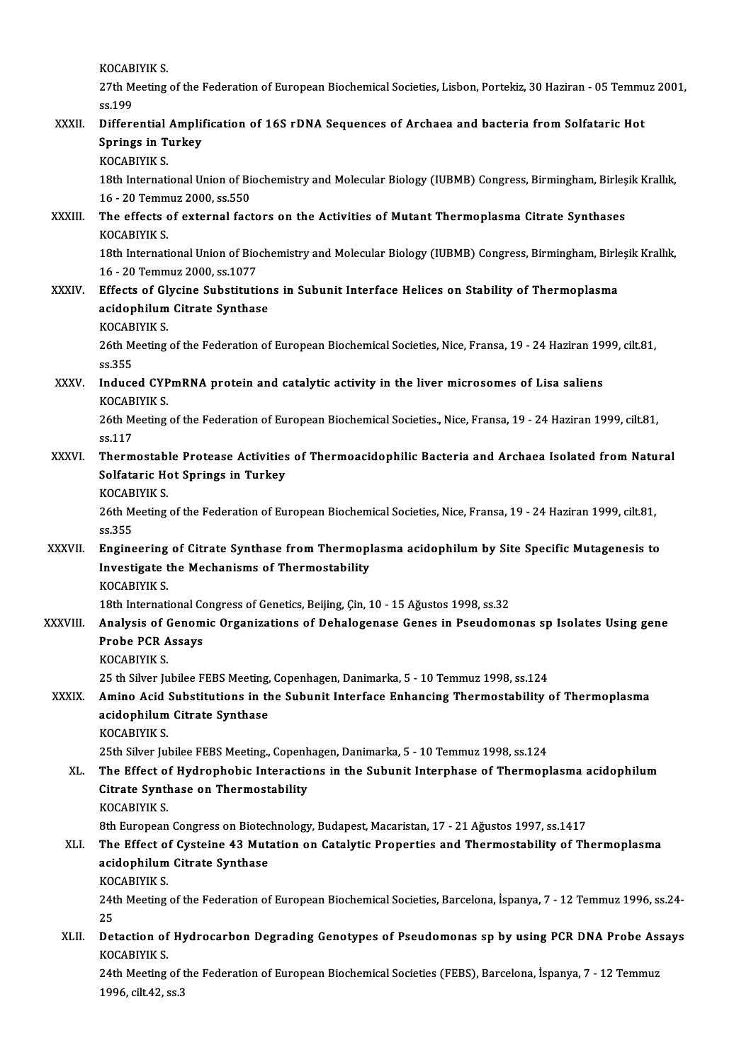KOCABIYIK S.<br>27th Meeting

KOCABIYIK S.<br>27th Meeting of the Federation of European Biochemical Societies, Lisbon, Portekiz, 30 Haziran - 05 Temmuz 2001, KOCAB<br>27th M<br>ss.199<br>Differe

|               | 27th Meeting of the Federation of European Biochemical Societies, Lisbon, Portekiz, 30 Haziran - 05 Temmuz 2001,<br>ss 199                     |
|---------------|------------------------------------------------------------------------------------------------------------------------------------------------|
| XXXII.        | Differential Amplification of 16S rDNA Sequences of Archaea and bacteria from Solfataric Hot                                                   |
|               | <b>Springs in Turkey</b>                                                                                                                       |
|               | <b>KOCABIYIK S.</b>                                                                                                                            |
|               | 18th International Union of Biochemistry and Molecular Biology (IUBMB) Congress, Birmingham, Birleşik Krallık,                                 |
|               | 16 - 20 Temmuz 2000, ss 550                                                                                                                    |
| XXXIII.       | The effects of external factors on the Activities of Mutant Thermoplasma Citrate Synthases                                                     |
|               | KOCABIYIK S.                                                                                                                                   |
|               | 18th International Union of Biochemistry and Molecular Biology (IUBMB) Congress, Birmingham, Birleşik Krallık,<br>16 - 20 Temmuz 2000, ss 1077 |
| <b>XXXIV</b>  | Effects of Glycine Substitutions in Subunit Interface Helices on Stability of Thermoplasma                                                     |
|               | acidophilum Citrate Synthase                                                                                                                   |
|               | KOCABIYIK S.                                                                                                                                   |
|               | 26th Meeting of the Federation of European Biochemical Societies, Nice, Fransa, 19 - 24 Haziran 1999, cilt.81,                                 |
|               | ss 355                                                                                                                                         |
| XXXV.         | Induced CYPmRNA protein and catalytic activity in the liver microsomes of Lisa saliens<br>KOCABIYIK S.                                         |
|               | 26th Meeting of the Federation of European Biochemical Societies., Nice, Fransa, 19 - 24 Haziran 1999, cilt.81,                                |
|               | ss 117                                                                                                                                         |
| XXXVI.        | Thermostable Protease Activities of Thermoacidophilic Bacteria and Archaea Isolated from Natural<br>Solfataric Hot Springs in Turkey           |
|               | <b>KOCABIYIK S.</b>                                                                                                                            |
|               | 26th Meeting of the Federation of European Biochemical Societies, Nice, Fransa, 19 - 24 Haziran 1999, cilt.81,                                 |
|               | ss 355                                                                                                                                         |
| <b>XXXVII</b> | Engineering of Citrate Synthase from Thermoplasma acidophilum by Site Specific Mutagenesis to                                                  |
|               | Investigate the Mechanisms of Thermostability                                                                                                  |
|               | <b>KOCABIYIK S.</b>                                                                                                                            |
|               | 18th International Congress of Genetics, Beijing, Cin, 10 - 15 Ağustos 1998, ss 32                                                             |
| XXXVIII.      | Analysis of Genomic Organizations of Dehalogenase Genes in Pseudomonas sp Isolates Using gene                                                  |
|               | <b>Probe PCR Assays</b>                                                                                                                        |
|               | KOCABIYIK S.<br>25 th Silver Jubilee FEBS Meeting, Copenhagen, Danimarka, 5 - 10 Temmuz 1998, ss.124                                           |
| XXXIX.        | Amino Acid Substitutions in the Subunit Interface Enhancing Thermostability of Thermoplasma                                                    |
|               | acidophilum Citrate Synthase                                                                                                                   |
|               | KOCABIYIK S.                                                                                                                                   |
|               | 25th Silver Jubilee FEBS Meeting., Copenhagen, Danimarka, 5 - 10 Temmuz 1998, ss.124                                                           |
| XL.           | The Effect of Hydrophobic Interactions in the Subunit Interphase of Thermoplasma acidophilum                                                   |
|               | Citrate Synthase on Thermostability                                                                                                            |
|               | <b>KOCABIYIK S</b>                                                                                                                             |
|               | 8th European Congress on Biotechnology, Budapest, Macaristan, 17 - 21 Ağustos 1997, ss.1417                                                    |
| XLI.          | The Effect of Cysteine 43 Mutation on Catalytic Properties and Thermostability of Thermoplasma                                                 |
|               | acidophilum Citrate Synthase                                                                                                                   |
|               | <b>KOCABIYIK S</b>                                                                                                                             |
|               | 24th Meeting of the Federation of European Biochemical Societies, Barcelona, İspanya, 7 - 12 Temmuz 1996, ss.24-                               |
| XLII.         | 25<br>Detaction of Hydrocarbon Degrading Genotypes of Pseudomonas sp by using PCR DNA Probe Assays                                             |
|               | KOCABIYIK S.                                                                                                                                   |
|               | 24th Meeting of the Federation of European Biochemical Societies (FEBS), Barcelona, İspanya, 7 - 12 Temmuz                                     |
|               | $1006$ ail $12$ as 2                                                                                                                           |

1996, cilt.42, ss.3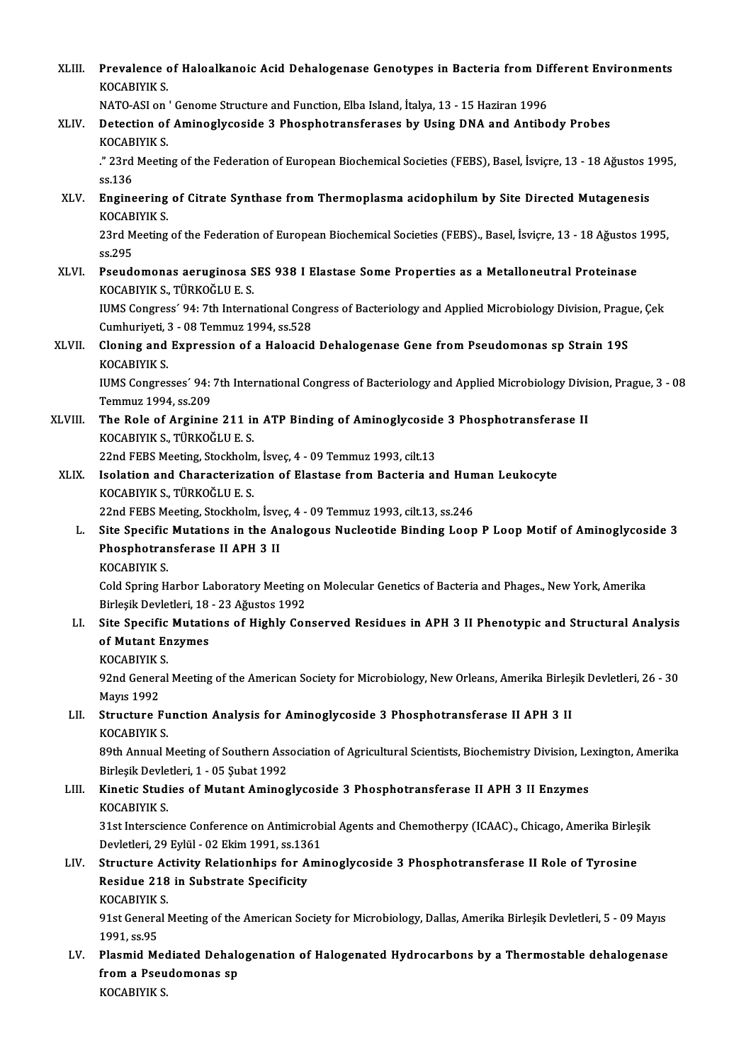| XLIII.      | Prevalence of Haloalkanoic Acid Dehalogenase Genotypes in Bacteria from Different Environments<br><b>KOCABIYIK S</b>                                        |
|-------------|-------------------------------------------------------------------------------------------------------------------------------------------------------------|
|             | NATO-ASI on ' Genome Structure and Function, Elba Island, İtalya, 13 - 15 Haziran 1996                                                                      |
| XLIV.       | Detection of Aminoglycoside 3 Phosphotransferases by Using DNA and Antibody Probes<br>KOCABIYIK S.                                                          |
|             | ." 23rd Meeting of the Federation of European Biochemical Societies (FEBS), Basel, İsviçre, 13 - 18 Ağustos 1995,<br>ss 136                                 |
| XLV.        | Engineering of Citrate Synthase from Thermoplasma acidophilum by Site Directed Mutagenesis<br><b>KOCABIYIK S.</b>                                           |
|             | 23rd Meeting of the Federation of European Biochemical Societies (FEBS)., Basel, İsviçre, 13 - 18 Ağustos 1995,<br>ss 295                                   |
| XLVI.       | Pseudomonas aeruginosa SES 938 I Elastase Some Properties as a Metalloneutral Proteinase<br>KOCABIYIK S., TÜRKOĞLU E. S.                                    |
|             | IUMS Congress' 94: 7th International Congress of Bacteriology and Applied Microbiology Division, Prague, Çek<br>Cumhuriyeti, 3 - 08 Temmuz 1994, ss 528     |
| XLVII.      | Cloning and Expression of a Haloacid Dehalogenase Gene from Pseudomonas sp Strain 19S<br>KOCABIYIK S.                                                       |
|             | IUMS Congresses' 94: 7th International Congress of Bacteriology and Applied Microbiology Division, Prague, 3 - 08<br>Temmuz 1994, ss.209                    |
| XLVIII.     | The Role of Arginine 211 in ATP Binding of Aminoglycoside 3 Phosphotransferase II<br>KOCABIYIK S., TÜRKOĞLU E. S.                                           |
|             | 22nd FEBS Meeting, Stockholm, İsveç, 4 - 09 Temmuz 1993, cilt.13                                                                                            |
| <b>XLIX</b> | Isolation and Characterization of Elastase from Bacteria and Human Leukocyte<br>KOCABIYIK S., TÜRKOĞLU E. S.                                                |
|             | 22nd FEBS Meeting, Stockholm, İsveç, 4 - 09 Temmuz 1993, cilt.13, ss.246                                                                                    |
| L.          | Site Specific Mutations in the Analogous Nucleotide Binding Loop P Loop Motif of Aminoglycoside 3<br>Phosphotransferase II APH 3 II                         |
|             | <b>KOCABIYIK S</b>                                                                                                                                          |
|             | Cold Spring Harbor Laboratory Meeting on Molecular Genetics of Bacteria and Phages., New York, Amerika<br>Birleşik Devletleri, 18 - 23 Ağustos 1992         |
| LI.         | Site Specific Mutations of Highly Conserved Residues in APH 3 II Phenotypic and Structural Analysis<br>of Mutant Enzymes<br>KOCABIYIK S.                    |
|             | 92nd General Meeting of the American Society for Microbiology, New Orleans, Amerika Birleşik Devletleri, 26 - 30<br><b>Mayıs 1992</b>                       |
| LII.        | Structure Function Analysis for Aminoglycoside 3 Phosphotransferase II APH 3 II<br>KOCABIYIK S.                                                             |
|             | 89th Annual Meeting of Southern Association of Agricultural Scientists, Biochemistry Division, Lexington, Amerika<br>Birleşik Devletleri, 1 - 05 Şubat 1992 |
| LIII.       | Kinetic Studies of Mutant Aminoglycoside 3 Phosphotransferase II APH 3 II Enzymes<br>KOCABIYIK S.                                                           |
|             | 31st Interscience Conference on Antimicrobial Agents and Chemotherpy (ICAAC)., Chicago, Amerika Birleşik<br>Devletleri, 29 Eylül - 02 Ekim 1991, ss.1361    |
| LIV.        | Structure Activity Relationhips for Aminoglycoside 3 Phosphotransferase II Role of Tyrosine                                                                 |
|             | Residue 218 in Substrate Specificity<br><b>KOCABIYIK S.</b>                                                                                                 |
|             | 91st General Meeting of the American Society for Microbiology, Dallas, Amerika Birleşik Devletleri, 5 - 09 Mayıs                                            |
| LV.         | 1991, ss 95<br>Plasmid Mediated Dehalogenation of Halogenated Hydrocarbons by a Thermostable dehalogenase                                                   |
|             | from a Pseudomonas sp<br>KOCABIYIK S                                                                                                                        |
|             |                                                                                                                                                             |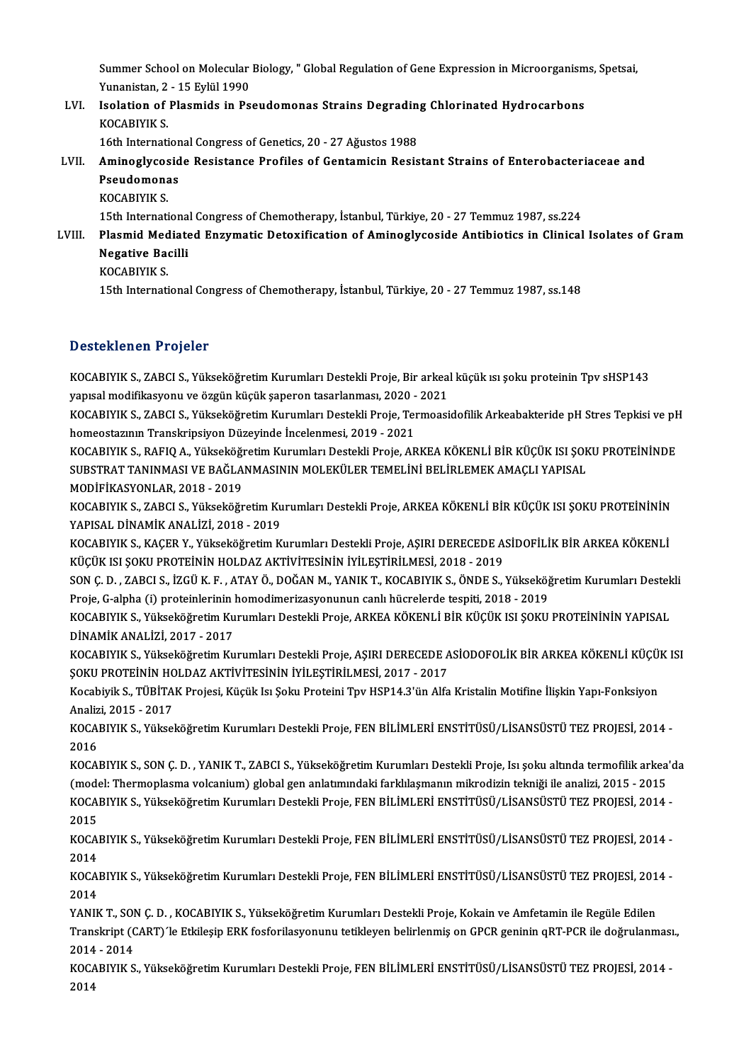Summer School on Molecular Biology, " Global Regulation of Gene Expression in Microorganisms, Spetsai,<br>Yunanistan 2, .15 Erlül 1990 Summer School on Molecular<br>Yunanistan, 2 - 15 Eylül 1990<br>Jeolation of Pleemide in Be Summer School on Molecular Biology, " Global Regulation of Gene Expression in Microorganism<br>Yunanistan, 2 - 15 Eylül 1990<br>LVI. Isolation of Plasmids in Pseudomonas Strains Degrading Chlorinated Hydrocarbons<br>KOCARIVIK S

Yunanistan, 2 - 15 Eylül 1990<br>Isolation of Plasmids in Pseudomonas Strains Degrading Chlorinated Hydrocarbons<br>KOCABIYIK S. Isolation of Plasmids in Pseudomonas Strains Degradin<br>KOCABIYIK S.<br>16th International Congress of Genetics, 20 - 27 Ağustos 1988<br>Aminoglycoside Pesistance Profiles of Centamicin Pesis

## KOCABIYIK S.<br>16th International Congress of Genetics, 20 - 27 Ağustos 1988<br>LVII. Aminoglycoside Resistance Profiles of Gentamicin Resistant Strains of Enterobacteriaceae and<br>Resudemenas 16th Internation<br>Aminoglycosid<br>Pseudomonas<br><sup>VOCAPIVIV S</sup> Aminoglycos<br>Pseudomona<br>KOCABIYIK S.<br>15th Internati Pseudomonas<br>KOCABIYIK S.<br>15th International Congress of Chemotherapy, İstanbul, Türkiye, 20 - 27 Temmuz 1987, ss.224<br>Plasmid Modiated Engumatis Detevifisation of Aminoglyseside Antibiotiss in Clinisel

## KOCABIYIK S.<br>15th International Congress of Chemotherapy, İstanbul, Türkiye, 20 - 27 Temmuz 1987, ss.224<br>17 Elinical Isolates of Gram<br>Negative Pacilli 15th Internationa<br>Plasmid Mediate<br>Negative Bacilli<br><sup>VOCAPIVIV S</sup> Plasmid Med<br>Negative Ba<br>KOCABIYIK S.<br><sup>15th Internati</sub></sup> 15th International<br>15th International Congress of Chemotherapy, İstanbul, Türkiye, 20 - 27 Temmuz 1987, ss.148<br>15th International Congress of Chemotherapy, İstanbul, Türkiye, 20 - 27 Temmuz 1987, ss.148

## Desteklenen Projeler

Desteklenen Projeler<br>KOCABIYIK S., ZABCI S., Yükseköğretim Kurumları Destekli Proje, Bir arkeal küçük ısı şoku proteinin Tpv sHSP143<br>YANKAL medifilmayanı ve özgün küçük sanaran tasırlanması 2020, 2021 ya sestentenen in sejeser<br>KOCABIYIK S., ZABCI S., Yükseköğretim Kurumları Destekli Proje, Bir arkeal<br>yapısal modifikasyonu ve özgün küçük şaperon tasarlanması, 2020 - 2021<br>KOCABIYIK S. ZABCI S. Vültseköğretim Kurumları Des KOCABIYIK S., ZABCI S., Yükseköğretim Kurumları Destekli Proje, Bir arkeal küçük ısı şoku proteinin Tpv sHSP143<br>yapısal modifikasyonu ve özgün küçük şaperon tasarlanması, 2020 - 2021<br>KOCABIYIK S., ZABCI S., Yükseköğretim K

yapısal modifikasyonu ve özgün küçük şaperon tasarlanması, 2020 -<br>KOCABIYIK S., ZABCI S., Yükseköğretim Kurumları Destekli Proje, Ten<br>homeostazının Transkripsiyon Düzeyinde İncelenmesi, 2019 - 2021<br>KOCABIYIK S., BAEIQ A. V KOCABIYIK S., ZABCI S., Yükseköğretim Kurumları Destekli Proje, Termoasidofilik Arkeabakteride pH Stres Tepkisi ve pH<br>homeostazının Transkripsiyon Düzeyinde İncelenmesi, 2019 - 2021<br>KOCABIYIK S., RAFIQ A., Yükseköğretim Ku

homeostazının Transkripsiyon Düzeyinde İncelenmesi, 2019 - 2021<br>KOCABIYIK S., RAFIQ A., Yükseköğretim Kurumları Destekli Proje, ARKEA KÖKENLİ BİR KÜÇÜK ISI ŞOKU PROTEİNİNDE<br>SUBSTRAT TANINMASI VE BAĞLANMASININ MOLEKÜLER TEM SUBSTRAT TANINMASI VE BAĞLANMASININ MOLEKÜLER TEMELİNİ BELİRLEMEK AMAÇLI YAPISAL SUBSTRAT TANINMASI VE BAĞLANMASININ MOLEKÜLER TEMELİNİ BELİRLEMEK AMAÇLI YAPISAL<br>MODİFİKASYONLAR, 2018 - 2019<br>KOCABIYIK S., ZABCI S., Yükseköğretim Kurumları Destekli Proje, ARKEA KÖKENLİ BİR KÜÇÜK ISI ŞOKU PROTEİNİNİN<br>YAR

MODİFİKASYONLAR, 2018 - 2019<br>KOCABIYIK S., ZABCI S., Yükseköğretim Ku<br>YAPISAL DİNAMİK ANALİZİ, 2018 - 2019<br>KOCABIYIK S. KACEB V. Yükseköğretim K KOCABIYIK S., ZABCI S., Yükseköğretim Kurumları Destekli Proje, ARKEA KÖKENLİ BİR KÜÇÜK ISI ŞOKU PROTEİNİNİN<br>YAPISAL DİNAMİK ANALİZİ, 2018 - 2019<br>KOCABIYIK S., KAÇER Y., Yükseköğretim Kurumları Destekli Proje, AŞIRI DERECE

YAPISAL DİNAMİK ANALİZİ, 2018 - 2019<br>KOCABIYIK S., KAÇER Y., Yükseköğretim Kurumları Destekli Proje, AŞIRI DERECEDE A:<br>KÜÇÜK ISI ŞOKU PROTEİNİN HOLDAZ AKTİVİTESİNİN İYİLEŞTİRİLMESİ, 2018 - 2019<br>SON G. D., ZARCI S. İZÇÜ K. KOCABIYIK S., KAÇER Y., Yükseköğretim Kurumları Destekli Proje, AŞIRI DERECEDE ASİDOFİLİK BİR ARKEA KÖKENLİ<br>KÜÇÜK ISI ŞOKU PROTEİNİN HOLDAZ AKTİVİTESİNİN İYİLEŞTİRİLMESİ, 2018 - 2019<br>SON Ç. D. , ZABCI S., İZGÜ K. F. , ATAY

KÜÇÜK ISI ŞOKU PROTEİNİN HOLDAZ AKTİVİTESİNİN İYİLEŞTİRİLMESİ, 2018 - 2019<br>SON Ç. D. , ZABCI S., İZGÜ K. F. , ATAY Ö., DOĞAN M., YANIK T., KOCABIYIK S., ÖNDE S., Yükseköğ<br>Proje, G-alpha (i) proteinlerinin homodimerizasyonu

SON Ç. D. , ZABCI S., İZGÜ K. F. , ATAY Ö., DOĞAN M., YANIK T., KOCABIYIK S., ÖNDE S., Yükseköğretim Kurumları Destekli<br>Proje, G-alpha (i) proteinlerinin homodimerizasyonunun canlı hücrelerde tespiti, 2018 - 2019<br>KOCABIYIK Proje, G-alpha (i) proteinlerinin l<br>KOCABIYIK S., Yükseköğretim Ku<br>DİNAMİK ANALİZİ, 2017 - 2017<br>KOCABIYIK S. Vükseköğretim Ku KOCABIYIK S., Yükseköğretim Kurumları Destekli Proje, ARKEA KÖKENLİ BİR KÜÇÜK ISI ŞOKU PROTEİNİNİN YAPISAL<br>DİNAMİK ANALİZİ, 2017 - 2017<br>KOCABIYIK S., Yükseköğretim Kurumları Destekli Proje, AŞIRI DERECEDE ASİODOFOLİK BİR A

DİNAMİK ANALİZİ, 2017 - 2017<br>KOCABIYIK S., Yükseköğretim Kurumları Destekli Proje, AŞIRI DERECEDE A<br>ŞOKU PROTEİNİN HOLDAZ AKTİVİTESİNİN İYİLEŞTİRİLMESİ, 2017 - 2017<br>Kosphiril: S. TÜRİTAK Projesi, Küsül: Isı Solu: Proteini KOCABIYIK S., Yükseköğretim Kurumları Destekli Proje, AŞIRI DERECEDE ASİODOFOLİK BİR ARKEA KÖKENLİ KÜÇÜ!<br>ŞOKU PROTEİNİN HOLDAZ AKTİVİTESİNİN İYİLEŞTİRİLMESİ, 2017 - 2017<br>Kocabiyik S., TÜBİTAK Projesi, Küçük Isı Şoku Protei

SOKU PROTEÍNÍN HC<br>Kocabiyik S., TÜBİTA<br>Analizi, 2015 - 2017<br>KOCABIYIK S. Yüksel Kocabiyik S., TÜBİTAK Projesi, Küçük Isı Şoku Proteini Tpv HSP14.3'ün Alfa Kristalin Motifine İlişkin Yapı-Fonksiyon<br>Analizi, 2015 - 2017<br>KOCABIYIK S., Yükseköğretim Kurumları Destekli Proje, FEN BİLİMLERİ ENSTİTÜSÜ/LİSANS

Analizi, 2015 - 2017<br>KOCABIYIK S., Yükseköğretim Kurumları Destekli Proje, FEN BİLİMLERİ ENSTİTÜSÜ/LİSANSÜSTÜ TEZ PROJESİ, 2014 -<br>2016 KOCABIYIK S., Yükseköğretim Kurumları Destekli Proje, FEN BİLİMLERİ ENSTİTÜSÜ/LİSANSÜSTÜ TEZ PROJESİ, 2014 -<br>2016<br>KOCABIYIK S., SON Ç. D. , YANIK T., ZABCI S., Yükseköğretim Kurumları Destekli Proje, Isı şoku altında termo

2016<br>KOCABIYIK S., SON Ç. D. , YANIK T., ZABCI S., Yükseköğretim Kurumları Destekli Proje, Isı şoku altında termofilik arkea<br>(model: Thermoplasma volcanium) global gen anlatımındaki farklılaşmanın mikrodizin tekniği ile an KOCABIYIK S., SON Ç. D. , YANIK T., ZABCI S., Yükseköğretim Kurumları Destekli Proje, Isı şoku altında termofilik arkea'd<br>(model: Thermoplasma volcanium) global gen anlatımındaki farklılaşmanın mikrodizin tekniği ile anali (mode<br>KOCA)<br>2015<br>KOCA) KOCABIYIK S., Yükseköğretim Kurumları Destekli Proje, FEN BİLİMLERİ ENSTİTÜSÜ/LİSANSÜSTÜ TEZ PROJESİ, 2014 -<br>2015<br>KOCABIYIK S., Yükseköğretim Kurumları Destekli Proje, FEN BİLİMLERİ ENSTİTÜSÜ/LİSANSÜSTÜ TEZ PROJESİ, 2014 -

2015<br>KOCABIYIK S., Yükseköğretim Kurumları Destekli Proje, FEN BİLİMLERİ ENSTİTÜSÜ/LİSANSÜSTÜ TEZ PROJESİ, 2014 -<br>2014 KOCABIYIK S., Yükseköğretim Kurumları Destekli Proje, FEN BİLİMLERİ ENSTİTÜSÜ/LİSANSÜSTÜ TEZ PROJESİ, 2014 -<br>2014<br>KOCABIYIK S., Yükseköğretim Kurumları Destekli Proje, FEN BİLİMLERİ ENSTİTÜSÜ/LİSANSÜSTÜ TEZ PROJESİ, 2014 -

2014<br>KOCA<br>2014<br>VANIL KOCABIYIK S., Yükseköğretim Kurumları Destekli Proje, FEN BİLİMLERİ ENSTİTÜSÜ/LİSANSÜSTÜ TEZ PROJESİ, 201<br>2014<br>YANIK T., SON Ç. D. , KOCABIYIK S., Yükseköğretim Kurumları Destekli Proje, Kokain ve Amfetamin ile Regüle Edil

2014<br>YANIK T., SON Ç. D. , KOCABIYIK S., Yükseköğretim Kurumları Destekli Proje, Kokain ve Amfetamin ile Regüle Edilen<br>Transkript (CART)´le Etkileşip ERK fosforilasyonunu tetikleyen belirlenmiş on GPCR geninin qRT-PCR ile YANIK T., SON Ç. D. , KOCABIYIK S., Yükseköğretim Kurumları Destekli Proje, Kokain ve Amfetamin ile Regüle Edilen<br>Transkript (CART)´le Etkileşip ERK fosforilasyonunu tetikleyen belirlenmiş on GPCR geninin qRT-PCR ile doğru Transkript (CART)´le Etkileşip ERK fosforilasyonunu tetikleyen belirlenmiş on GPCR geninin qRT-PCR ile doğrulanması<br>2014 - 2014<br>KOCABIYIK S., Yükseköğretim Kurumları Destekli Proje, FEN BİLİMLERİ ENSTİTÜSÜ/LİSANSÜSTÜ TEZ P

KOCABIYIK S., Yükseköğretim Kurumları Destekli Proje, FEN BİLİMLERİ ENSTİTÜSÜ/LİSANSÜSTÜ TEZ PROJESİ, 2014 -<br>2014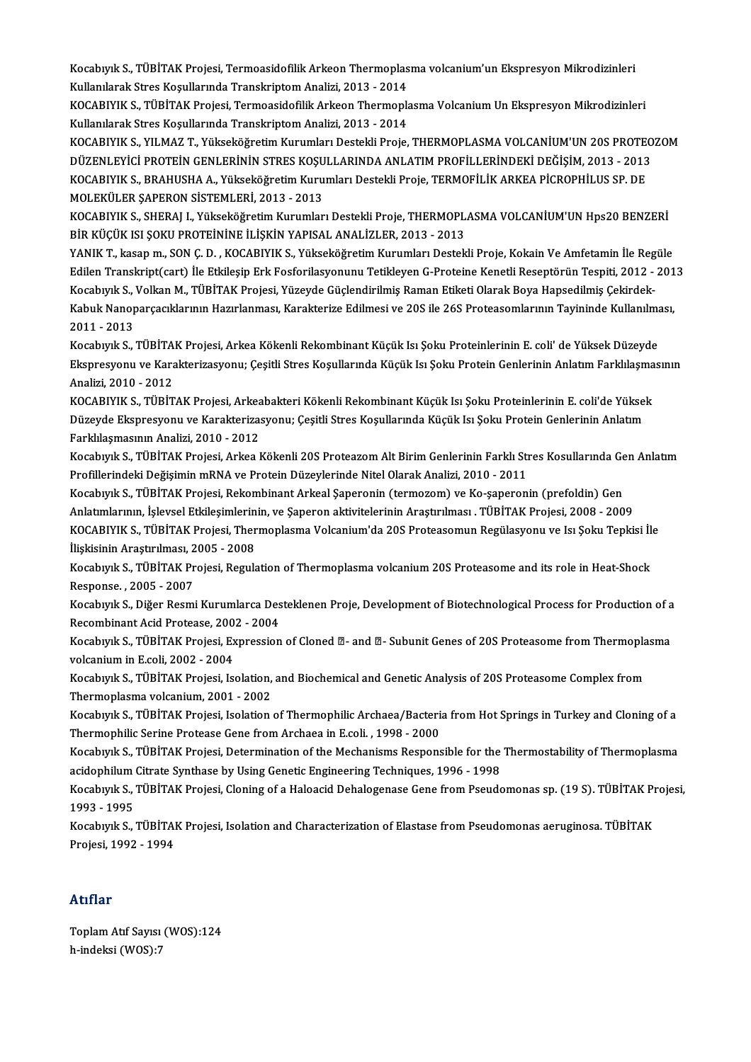Kocabıyık S., TÜBİTAK Projesi, Termoasidofilik Arkeon Thermoplasma volcanium'un Ekspresyon Mikrodizinleri<br>Kullanılarak Stres Kosullarında Translırıntam Analisi, 2012, 2014 Kocabıyık S., TÜBİTAK Projesi, Termoasidofilik Arkeon Thermoplas<br>Kullanılarak Stres Koşullarında Transkriptom Analizi, 2013 - 2014<br>KOCARIVIK S. TÜRİTAK Prejesi, Termoasidefilik Arkeon Thermonk Kocabıyık S., TÜBİTAK Projesi, Termoasidofilik Arkeon Thermoplasma volcanium'un Ekspresyon Mikrodizinleri<br>Kullanılarak Stres Koşullarında Transkriptom Analizi, 2013 - 2014<br>KOCABIYIK S., TÜBİTAK Projesi, Termoasidofilik Ark

Kullanılarak Stres Koşullarında Transkriptom Analizi, 2013 - 2014<br>KOCABIYIK S., TÜBİTAK Projesi, Termoasidofilik Arkeon Thermopla<br>Kullanılarak Stres Koşullarında Transkriptom Analizi, 2013 - 2014<br>KOCABIYIK S. XII MAZ T. Yü KOCABIYIK S., TÜBİTAK Projesi, Termoasidofilik Arkeon Thermoplasma Volcanium Un Ekspresyon Mikrodizinleri<br>Kullanılarak Stres Koşullarında Transkriptom Analizi, 2013 - 2014<br>KOCABIYIK S., YILMAZ T., Yükseköğretim Kurumları D

Kullanılarak Stres Koşullarında Transkriptom Analizi, 2013 - 2014<br>KOCABIYIK S., YILMAZ T., Yükseköğretim Kurumları Destekli Proje, THERMOPLASMA VOLCANİUM'UN 20S PROTEOZOM<br>DÜZENLEYİCİ PROTEİN GENLERİNİN STRES KOŞULLARINDA A KOCABIYIK S., YILMAZ T., Yükseköğretim Kurumları Destekli Proje, THERMOPLASMA VOLCANİUM'UN 20S PROTE<br>DÜZENLEYİCİ PROTEİN GENLERİNİN STRES KOŞULLARINDA ANLATIM PROFİLLERİNDEKİ DEĞİŞİM, 2013 - 2013<br>KOCABIYIK S., BRAHUSHA A., DÜZENLEYİCİ PROTEİN GENLERİNİN STRES KOŞU<br>KOCABIYIK S., BRAHUSHA A., Yükseköğretim Kuru<br>MOLEKÜLER ŞAPERON SİSTEMLERİ, 2013 - 2013<br>KOCABIYIK S. SUEBALL Yükseköğretim Kurumlar KOCABIYIK S., BRAHUSHA A., Yükseköğretim Kurumları Destekli Proje, TERMOFİLİK ARKEA PİCROPHİLUS SP. DE<br>MOLEKÜLER ŞAPERON SİSTEMLERİ, 2013 - 2013<br>KOCABIYIK S., SHERAJ I., Yükseköğretim Kurumları Destekli Proje, THERMOPLASMA

MOLEKÜLER ŞAPERON SİSTEMLERİ, 2013 - 2013<br>KOCABIYIK S., SHERAJ I., Yükseköğretim Kurumları Destekli Proje, THERMOPLASMA VOLCANİUM'UN Hps20 BENZERİ<br>BİR KÜÇÜK ISI ŞOKU PROTEİNİNE İLİŞKİN YAPISAL ANALİZLER, 2013 - 2013

YANIK T., kasap m., SON Ç.D., KOCABIYIK S., Yükseköğretim Kurumları Destekli Proje, Kokain Ve Amfetamin İle Regüle Edilen Transkript(cart) İle Etkilesip Erk Fosforilasyonunu Tetikleyen G-Proteine Kenetli Reseptörün Tespiti, 2012 - 2013 Kocabıyık S., Volkan M., TÜBİTAK Projesi, Yüzeyde Güçlendirilmiş Raman Etiketi Olarak Boya Hapsedilmiş Çekirdek-Edilen Transkript(cart) İle Etkileşip Erk Fosforilasyonunu Tetikleyen G-Proteine Kenetli Reseptörün Tespiti, 2012 - 201<br>Kocabıyık S., Volkan M., TÜBİTAK Projesi, Yüzeyde Güçlendirilmiş Raman Etiketi Olarak Boya Hapsedilmiş Kocabıyık S., `<br>Kabuk Nanop<br>2011 - 2013<br>Kosaburk S Kabuk Nanoparçacıklarının Hazırlanması, Karakterize Edilmesi ve 20S ile 26S Proteasomlarının Tayininde Kullanılma<br>2011 - 2013<br>Kocabıyık S., TÜBİTAK Projesi, Arkea Kökenli Rekombinant Küçük Isı Şoku Proteinlerinin E. coli'

2011 - 2013<br>Kocabıyık S., TÜBİTAK Projesi, Arkea Kökenli Rekombinant Küçük Isı Şoku Proteinlerinin E. coli' de Yüksek Düzeyde<br>Ekspresyonu ve Karakterizasyonu; Çeşitli Stres Koşullarında Küçük Isı Şoku Protein Genlerinin An Kocabıyık S., TÜBİTAK Projesi, Arkea Kökenli Rekombinant Küçük Isı Şoku Proteinlerinin E. coli' de Yüksek Düzeyde Ekspresyonu ve Karakterizasyonu; Çeşitli Stres Koşullarında Küçük Isı Şoku Protein Genlerinin Anlatım Farklılaşma<br>Analizi, 2010 - 2012<br>KOCABIYIK S., TÜBİTAK Projesi, Arkeabakteri Kökenli Rekombinant Küçük Isı Şoku Proteinl

Analizi, 2010 - 2012<br>KOCABIYIK S., TÜBİTAK Projesi, Arkeabakteri Kökenli Rekombinant Küçük Isı Şoku Proteinlerinin E. coli'de Yüksel<br>Düzeyde Ekspresyonu ve Karakterizasyonu; Çeşitli Stres Koşullarında Küçük Isı Şoku Protei KOCABIYIK S., TÜBİTAK Projesi, Arkea<br>Düzeyde Ekspresyonu ve Karakteriza:<br>Farklılaşmasının Analizi, 2010 - 2012<br>Kosaburk S., TÜRİTAK Projesi, Arkea I Düzeyde Ekspresyonu ve Karakterizasyonu; Çeşitli Stres Koşullarında Küçük Isı Şoku Protein Genlerinin Anlatım<br>Farklılaşmasının Analizi, 2010 - 2012

Profillerindeki Değişimin mRNA ve Protein Düzeylerinde Nitel Olarak Analizi, 2010 - 2011<br>Kocabıyık S., TÜBİTAK Projesi, Rekombinant Arkeal Şaperonin (termozom) ve Ko-şaperonin (prefoldin) Gen Kocabıyık S., TÜBİTAK Projesi, Arkea Kökenli 20S Proteazom Alt Birim Genlerinin Farklı Stres Kosullarında Gen Anlatım

Anlatımlarının, İşlevsel Etkileşimlerinin, ve Şaperon aktivitelerinin Araştırılması . TÜBİTAK Projesi, 2008 - 2009 Kocabıyık S., TÜBİTAK Projesi, Rekombinant Arkeal Şaperonin (termozom) ve Ko-şaperonin (prefoldin) Gen<br>Anlatımlarının, İşlevsel Etkileşimlerinin, ve Şaperon aktivitelerinin Araştırılması . TÜBİTAK Projesi, 2008 - 2009<br>KOCA Anlatımlarının, İşlevsel Etkileşimlerin<br>KOCABIYIK S., TÜBİTAK Projesi, Ther<br>İlişkisinin Araştırılması, 2005 - 2008<br>Kosaburlus, TÜBİTAK Projesi, Besule KOCABIYIK S., TÜBİTAK Projesi, Thermoplasma Volcanium'da 20S Proteasomun Regülasyonu ve Isı Şoku Tepkisi İl<mark>i</mark><br>İlişkisinin Araştırılması, 2005 - 2008<br>Kocabıyık S., TÜBİTAK Projesi, Regulation of Thermoplasma volcanium 20S

İlişkisinin Araştırılması, 2005 - 2008<br>Kocabıyık S., TÜBİTAK Projesi, Regulation of Thermoplasma volcanium 20S Proteasome and its role in Heat-Shock<br>Response. , 2005 - 2007 Kocabıyık S., TÜBİTAK Projesi, Regulation of Thermoplasma volcanium 20S Proteasome and its role in Heat-Shock<br>Response. , 2005 - 2007<br>Kocabıyık S., Diğer Resmi Kurumlarca Desteklenen Proje, Development of Biotechnological

Response. , 2005 - 2007<br>Kocabıyık S., Diğer Resmi Kurumlarca Des<br>Recombinant Acid Protease, 2002 - 2004<br>Kosaburlus - TüpitAK Proiesi Eupressian Kocabıyık S., Diğer Resmi Kurumlarca Desteklenen Proje, Development of Biotechnological Process for Production of a<br>Recombinant Acid Protease, 2002 - 2004<br>Kocabıyık S., TÜBİTAK Projesi, Expression of Cloned ⊠- and ⊠- Subun

Recombinant Acid Protease, 200<br>Kocabıyık S., TÜBİTAK Projesi, Ex<br>volcanium in E.coli, 2002 - 2004<br>Kosaburlı S., TÜBİTAK Projesi, Is Kocabıyık S., TÜBİTAK Projesi, Expression of Cloned **2**- and 2- Subunit Genes of 20S Proteasome from Thermopla<br>volcanium in E.coli, 2002 - 2004<br>Kocabıyık S., TÜBİTAK Projesi, Isolation, and Biochemical and Genetic Analysis

volcanium in E.coli, 2002 - 2004<br>Kocabıyık S., TÜBİTAK Projesi, Isolation, and Biochemical and Genetic Analysis of 20S Proteasome Complex from<br>Thermoplasma volcanium, 2001 - 2002 Kocabıyık S., TÜBİTAK Projesi, Isolation, and Biochemical and Genetic Analysis of 20S Proteasome Complex from<br>Thermoplasma volcanium, 2001 - 2002<br>Kocabıyık S., TÜBİTAK Projesi, Isolation of Thermophilic Archaea/Bacteria fr

Thermoplasma volcanium, 2001 - 2002<br>Kocabıyık S., TÜBİTAK Projesi, Isolation of Thermophilic Archaea/Bacteri:<br>Thermophilic Serine Protease Gene from Archaea in E.coli. , 1998 - 2000<br>Kosaburlı S. TÜBİTAK Projesi, Determinat Kocabıyık S., TÜBİTAK Projesi, Isolation of Thermophilic Archaea/Bacteria from Hot Springs in Turkey and Cloning of a<br>Thermophilic Serine Protease Gene from Archaea in E.coli. , 1998 - 2000<br>Kocabıyık S., TÜBİTAK Projesi, D

Thermophilic Serine Protease Gene from Archaea in E.coli. , 1998 - 2000<br>Kocabıyık S., TÜBİTAK Projesi, Determination of the Mechanisms Responsible for the<br>acidophilum Citrate Synthase by Using Genetic Engineering Technique Kocabıyık S., TÜBİTAK Projesi, Determination of the Mechanisms Responsible for the Thermostability of Thermoplasma<br>acidophilum Citrate Synthase by Using Genetic Engineering Techniques, 1996 - 1998<br>Kocabıyık S., TÜBİTAK Pro

acidophilum Citrate Synthase by Using Genetic Engineering Techniques, 1996 - 1998<br>Kocabıyık S., TÜBİTAK Projesi, Cloning of a Haloacid Dehalogenase Gene from Pseudomonas sp. (19 S). TÜBİTAK Projesi,<br>1993 - 1995 Kocabıyık S., TÜBİTAK Projesi, Cloning of a Haloacid Dehalogenase Gene from Pseudomonas sp. (19 S). TÜBİTAK Pı<br>1993 - 1995<br>Kocabıyık S., TÜBİTAK Projesi, Isolation and Characterization of Elastase from Pseudomonas aerugino

1993 - 1995<br>Kocabıyık S., TÜBİTAI<br>Projesi, 1992 - 1994 Projesi, 1992 - 1994<br>Atıflar

ToplamAtıf Sayısı (WOS):124 h-indeksi (WOS):7